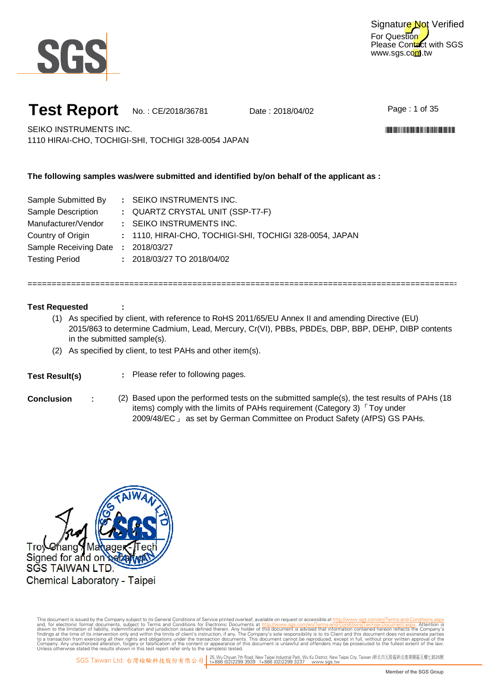

For Question Please Contact with SGS www.sgs.com.tw Signature Not Verified

### **Test Report** No.: CE/2018/36781 Date: 2018/04/02

Page: 1 of 35

\*CE/2018/36781\*CE/2018/38781\*CE/2018/38781\*CE/2018

SEIKO INSTRUMENTS INC. 1110 HIRAI-CHO, TOCHIGI-SHI, TOCHIGI 328-0054 JAPAN

#### **The following samples was/were submitted and identified by/on behalf of the applicant as :**

| Sample Submitted By                | : SEIKO INSTRUMENTS INC.                                |
|------------------------------------|---------------------------------------------------------|
| Sample Description                 | : QUARTZ CRYSTAL UNIT (SSP-T7-F)                        |
| Manufacturer/Vendor                | : SEIKO INSTRUMENTS INC.                                |
| Country of Origin                  | : 1110, HIRAI-CHO, TOCHIGI-SHI, TOCHIGI 328-0054, JAPAN |
| Sample Receiving Date : 2018/03/27 |                                                         |
| <b>Testing Period</b>              | $: 2018/03/27$ TO 2018/04/02                            |

#### **Test Requested**

(1) As specified by client, with reference to RoHS 2011/65/EU Annex II and amending Directive (EU) 2015/863 to determine Cadmium, Lead, Mercury, Cr(VI), PBBs, PBDEs, DBP, BBP, DEHP, DIBP contents in the submitted sample(s).

= = = = = = = = = = = = = = = = = = = = = = = = = = = = = = = = = = = = = = = = = = = = = = = = = = = = = = = = = = = = = = = = = = = = = = = = = = = = = = = = = = = = = = = = = = = =

(2) As specified by client, to test PAHs and other item (s).

**:**

#### **Test Result(s)**

- **:** Please refer to following pages.
- 
- **Conclusion** : (2) Based upon the performed tests on the submitted sample(s), the test results of PAHs (18 items) comply with the limits of PAHs requirement (Category 3) 「 Toy under 2009/48/EC 」 as set by German Committee on Product Safety (AfPS) GS PAHs.

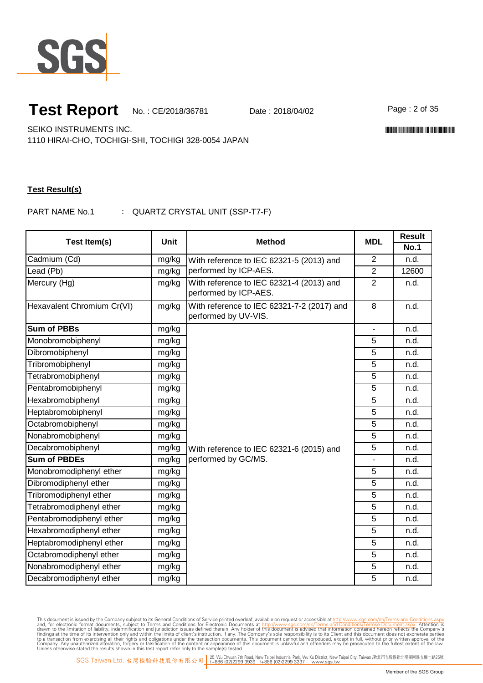

Page: 2 of 35

\*CE/2018/36781\*CE/2018/38781\*CE/2018/38781\*CE/2018

SEIKO INSTRUMENTS INC.

1110 HIRAI-CHO, TOCHIGI-SHI, TOCHIGI 328-0054 JAPAN

#### **Test Result(s)**

PART NAME No.1 : QUARTZ CRYSTAL UNIT (SSP-T7-F)

| Test Item(s)               | <b>Unit</b> | <b>Method</b>                                                      | <b>MDL</b>     | <b>Result</b> |
|----------------------------|-------------|--------------------------------------------------------------------|----------------|---------------|
|                            |             |                                                                    |                | <b>No.1</b>   |
| Cadmium (Cd)               | mg/kg       | With reference to IEC 62321-5 (2013) and                           | $\overline{2}$ | n.d.          |
| Lead (Pb)                  | mg/kg       | performed by ICP-AES.                                              | $\overline{2}$ | 12600         |
| Mercury (Hg)               | mg/kg       | With reference to IEC 62321-4 (2013) and<br>performed by ICP-AES.  | $\overline{2}$ | n.d.          |
| Hexavalent Chromium Cr(VI) | mg/kg       | With reference to IEC 62321-7-2 (2017) and<br>performed by UV-VIS. | $\overline{8}$ | n.d.          |
| <b>Sum of PBBs</b>         | mg/kg       |                                                                    |                | n.d.          |
| Monobromobiphenyl          | mg/kg       |                                                                    | 5              | n.d.          |
| Dibromobiphenyl            | mg/kg       |                                                                    | 5              | n.d.          |
| Tribromobiphenyl           | mg/kg       |                                                                    | 5              | n.d.          |
| Tetrabromobiphenyl         | mg/kg       |                                                                    | 5              | n.d.          |
| Pentabromobiphenyl         | mg/kg       |                                                                    | 5              | n.d.          |
| Hexabromobiphenyl          | mg/kg       |                                                                    | 5              | n.d.          |
| Heptabromobiphenyl         | mg/kg       |                                                                    | 5              | n.d.          |
| Octabromobiphenyl          | mg/kg       |                                                                    | 5              | n.d.          |
| Nonabromobiphenyl          | mg/kg       |                                                                    | 5              | n.d.          |
| Decabromobiphenyl          | mg/kg       | With reference to IEC 62321-6 (2015) and                           | 5              | n.d.          |
| <b>Sum of PBDEs</b>        | mg/kg       | performed by GC/MS.                                                |                | n.d.          |
| Monobromodiphenyl ether    | mg/kg       |                                                                    | 5              | n.d.          |
| Dibromodiphenyl ether      | mg/kg       |                                                                    | 5              | n.d.          |
| Tribromodiphenyl ether     | mg/kg       |                                                                    | 5              | n.d.          |
| Tetrabromodiphenyl ether   | mg/kg       |                                                                    | 5              | n.d.          |
| Pentabromodiphenyl ether   | mg/kg       |                                                                    | 5              | n.d.          |
| Hexabromodiphenyl ether    | mg/kg       |                                                                    | 5              | n.d.          |
| Heptabromodiphenyl ether   | mg/kg       |                                                                    | 5              | n.d.          |
| Octabromodiphenyl ether    | mg/kg       |                                                                    | 5              | n.d.          |
| Nonabromodiphenyl ether    | mg/kg       |                                                                    | 5              | n.d.          |
| Decabromodiphenyl ether    | mg/kg       |                                                                    | 5              | n.d.          |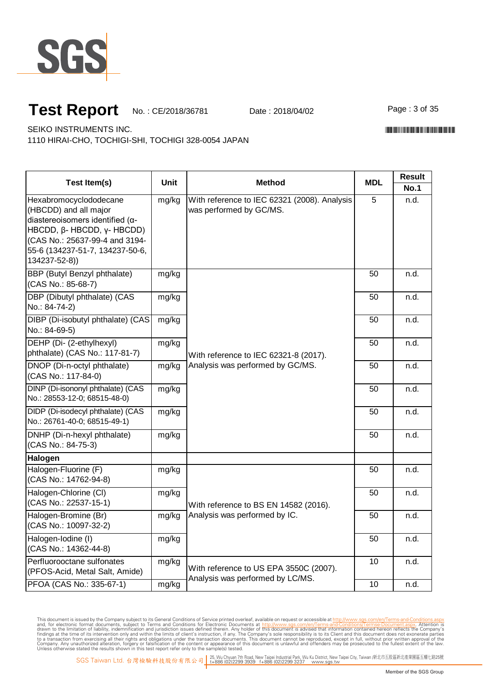

Page: 3 of 35

\*CE/2018/36781\*CE/2018/38781\*CE/2018/38781\*CE/2018

SEIKO INSTRUMENTS INC.

1110 HIRAI-CHO, TOCHIGI-SHI, TOCHIGI 328-0054 JAPAN

|                                                                                                                                                                                                                    |             | <b>Method</b>                                                             | <b>MDL</b> | <b>Result</b> |
|--------------------------------------------------------------------------------------------------------------------------------------------------------------------------------------------------------------------|-------------|---------------------------------------------------------------------------|------------|---------------|
| <b>Test Item(s)</b>                                                                                                                                                                                                | <b>Unit</b> |                                                                           |            | <b>No.1</b>   |
| Hexabromocyclododecane<br>(HBCDD) and all major<br>diastereoisomers identified ( $\alpha$ -<br>HBCDD, β-HBCDD, γ-HBCDD)<br>(CAS No.: 25637-99-4 and 3194-<br>55-6 (134237-51-7, 134237-50-6,<br>$134237 - 52 - 8)$ | mg/kg       | With reference to IEC 62321 (2008). Analysis<br>was performed by GC/MS.   | 5          | n.d.          |
| <b>BBP</b> (Butyl Benzyl phthalate)<br>(CAS No.: 85-68-7)                                                                                                                                                          | mg/kg       |                                                                           | 50         | n.d.          |
| DBP (Dibutyl phthalate) (CAS<br>No.: 84-74-2)                                                                                                                                                                      | mg/kg       |                                                                           | 50         | n.d.          |
| DIBP (Di-isobutyl phthalate) (CAS<br>No.: 84-69-5)                                                                                                                                                                 | mg/kg       | With reference to IEC 62321-8 (2017).<br>Analysis was performed by GC/MS. | 50         | n.d.          |
| DEHP (Di- (2-ethylhexyl)<br>phthalate) (CAS No.: 117-81-7)                                                                                                                                                         | mg/kg       |                                                                           | 50         | n.d.          |
| DNOP (Di-n-octyl phthalate)<br>(CAS No.: 117-84-0)                                                                                                                                                                 | mg/kg       |                                                                           | 50         | n.d.          |
| DINP (Di-isononyl phthalate) (CAS<br>No.: 28553-12-0; 68515-48-0)                                                                                                                                                  | mg/kg       |                                                                           | 50         | n.d.          |
| DIDP (Di-isodecyl phthalate) (CAS<br>No.: 26761-40-0; 68515-49-1)                                                                                                                                                  | mg/kg       |                                                                           | 50         | n.d.          |
| DNHP (Di-n-hexyl phthalate)<br>(CAS No.: 84-75-3)                                                                                                                                                                  | mg/kg       |                                                                           | 50         | n.d.          |
| Halogen                                                                                                                                                                                                            |             |                                                                           |            |               |
| Halogen-Fluorine (F)<br>(CAS No.: 14762-94-8)                                                                                                                                                                      | mg/kg       |                                                                           | 50         | n.d.          |
| Halogen-Chlorine (CI)<br>(CAS No.: 22537-15-1)                                                                                                                                                                     | mg/kg       | With reference to BS EN 14582 (2016).                                     | 50         | n.d.          |
| Halogen-Bromine (Br)<br>(CAS No.: 10097-32-2)                                                                                                                                                                      | mg/kg       | Analysis was performed by IC.                                             | 50         | n.d.          |
| Halogen-Iodine (I)<br>(CAS No.: 14362-44-8)                                                                                                                                                                        | mg/kg       |                                                                           | 50         | n.d.          |
| Perfluorooctane sulfonates<br>(PFOS-Acid, Metal Salt, Amide)                                                                                                                                                       | mg/kg       | With reference to US EPA 3550C (2007).                                    | 10         | n.d.          |
| PFOA (CAS No.: 335-67-1)                                                                                                                                                                                           | mg/kg       | Analysis was performed by LC/MS.                                          | 10         | n.d.          |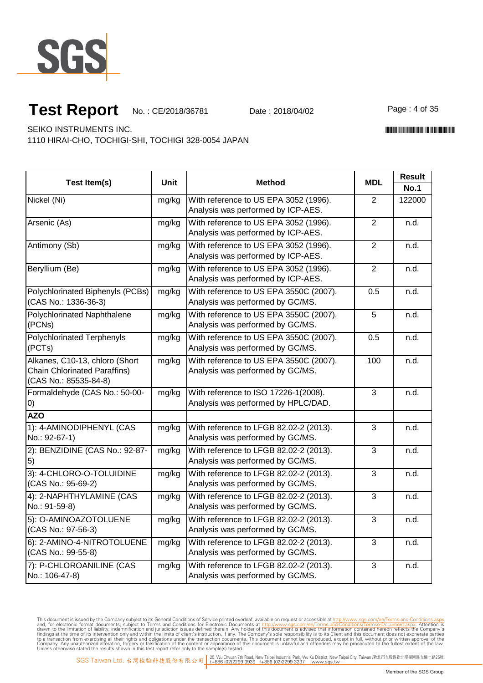

Page: 4 of 35

\*CE/2018/36781\*CE/2018/38781\*CE/2018/38781\*CE/2018

SEIKO INSTRUMENTS INC.

1110 HIRAI-CHO, TOCHIGI-SHI, TOCHIGI 328-0054 JAPAN

| Test Item(s)                                                                                   | <b>Unit</b> | <b>Method</b>                                                               | <b>MDL</b>     | <b>Result</b> |
|------------------------------------------------------------------------------------------------|-------------|-----------------------------------------------------------------------------|----------------|---------------|
|                                                                                                |             |                                                                             |                | <b>No.1</b>   |
| Nickel (Ni)                                                                                    | mg/kg       | With reference to US EPA 3052 (1996).<br>Analysis was performed by ICP-AES. | $\overline{2}$ | 122000        |
| Arsenic (As)                                                                                   | mg/kg       | With reference to US EPA 3052 (1996).<br>Analysis was performed by ICP-AES. | $\overline{2}$ | n.d.          |
| Antimony (Sb)                                                                                  | mg/kg       | With reference to US EPA 3052 (1996).<br>Analysis was performed by ICP-AES. | $\overline{2}$ | n.d.          |
| Beryllium (Be)                                                                                 | mg/kg       | With reference to US EPA 3052 (1996).<br>Analysis was performed by ICP-AES. | 2              | n.d.          |
| Polychlorinated Biphenyls (PCBs)<br>(CAS No.: 1336-36-3)                                       | mg/kg       | With reference to US EPA 3550C (2007).<br>Analysis was performed by GC/MS.  | 0.5            | n.d.          |
| Polychlorinated Naphthalene<br>(PCNs)                                                          | mg/kg       | With reference to US EPA 3550C (2007).<br>Analysis was performed by GC/MS.  | 5              | n.d.          |
| Polychlorinated Terphenyls<br>(PCTs)                                                           | mg/kg       | With reference to US EPA 3550C (2007).<br>Analysis was performed by GC/MS.  | 0.5            | n.d.          |
| Alkanes, C10-13, chloro (Short<br><b>Chain Chlorinated Paraffins)</b><br>(CAS No.: 85535-84-8) | mg/kg       | With reference to US EPA 3550C (2007).<br>Analysis was performed by GC/MS.  | 100            | n.d.          |
| Formaldehyde (CAS No.: 50-00-<br>0)                                                            | mg/kg       | With reference to ISO 17226-1(2008).<br>Analysis was performed by HPLC/DAD. | 3              | n.d.          |
| <b>AZO</b>                                                                                     |             |                                                                             |                |               |
| 1): 4-AMINODIPHENYL (CAS<br>No.: 92-67-1)                                                      | mg/kg       | With reference to LFGB 82.02-2 (2013).<br>Analysis was performed by GC/MS.  | 3              | n.d.          |
| 2): BENZIDINE (CAS No.: 92-87-<br>5)                                                           | mg/kg       | With reference to LFGB 82.02-2 (2013).<br>Analysis was performed by GC/MS.  | 3              | n.d.          |
| 3): 4-CHLORO-O-TOLUIDINE<br>(CAS No.: 95-69-2)                                                 | mg/kg       | With reference to LFGB 82.02-2 (2013).<br>Analysis was performed by GC/MS.  | 3              | n.d.          |
| 4): 2-NAPHTHYLAMINE (CAS<br>No.: 91-59-8)                                                      | mg/kg       | With reference to LFGB 82.02-2 (2013).<br>Analysis was performed by GC/MS.  | 3              | n.d.          |
| 5): O-AMINOAZOTOLUENE<br>(CAS No.: 97-56-3)                                                    | mg/kg       | With reference to LFGB 82.02-2 (2013).<br>Analysis was performed by GC/MS.  | 3              | n.d.          |
| 6): 2-AMINO-4-NITROTOLUENE<br>(CAS No.: 99-55-8)                                               | mg/kg       | With reference to LFGB 82.02-2 (2013).<br>Analysis was performed by GC/MS.  | 3              | n.d.          |
| 7): P-CHLOROANILINE (CAS<br>No.: 106-47-8)                                                     | mg/kg       | With reference to LFGB 82.02-2 (2013).<br>Analysis was performed by GC/MS.  | 3              | n.d.          |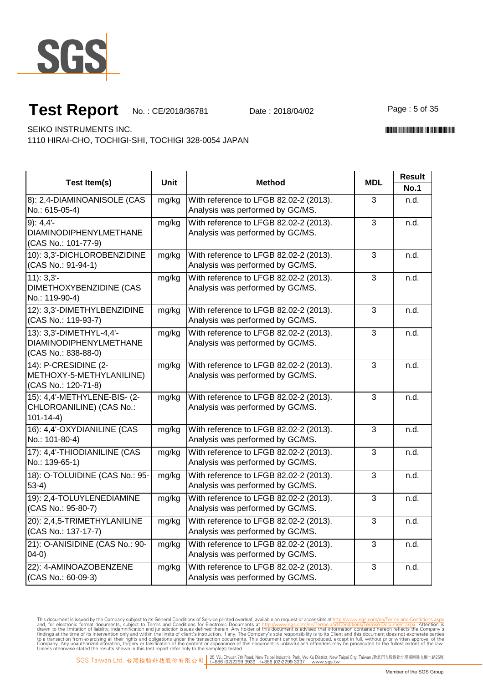

Page: 5 of 35

\*CE/2018/36781\*CE/2018/38781\*CE/2018/38781\*CE/2018

SEIKO INSTRUMENTS INC.

1110 HIRAI-CHO, TOCHIGI-SHI, TOCHIGI 328-0054 JAPAN

| <b>Test Item(s)</b>                                                              | <b>Unit</b> | <b>Method</b>                                                              | <b>MDL</b>     | <b>Result</b>       |
|----------------------------------------------------------------------------------|-------------|----------------------------------------------------------------------------|----------------|---------------------|
| 8): 2,4-DIAMINOANISOLE (CAS<br>No.: 615-05-4)                                    | mg/kg       | With reference to LFGB 82.02-2 (2013).<br>Analysis was performed by GC/MS. | 3              | <b>No.1</b><br>n.d. |
| 9:4.4'<br><b>DIAMINODIPHENYLMETHANE</b><br>(CAS No.: 101-77-9)                   | mg/kg       | With reference to LFGB 82.02-2 (2013).<br>Analysis was performed by GC/MS. | 3              | n.d.                |
| 10): 3,3'-DICHLOROBENZIDINE<br>(CAS No.: 91-94-1)                                | mg/kg       | With reference to LFGB 82.02-2 (2013).<br>Analysis was performed by GC/MS. | 3              | n.d.                |
| $11$ : $3,3'$ -<br>DIMETHOXYBENZIDINE (CAS<br>No.: 119-90-4)                     | mg/kg       | With reference to LFGB 82.02-2 (2013).<br>Analysis was performed by GC/MS. | 3              | n.d.                |
| 12): 3,3'-DIMETHYLBENZIDINE<br>(CAS No.: 119-93-7)                               | mg/kg       | With reference to LFGB 82.02-2 (2013).<br>Analysis was performed by GC/MS. | 3              | n.d.                |
| 13): 3,3'-DIMETHYL-4,4'-<br><b>DIAMINODIPHENYLMETHANE</b><br>(CAS No.: 838-88-0) | mg/kg       | With reference to LFGB 82.02-2 (2013).<br>Analysis was performed by GC/MS. | $\overline{3}$ | n.d.                |
| 14): P-CRESIDINE (2-<br>METHOXY-5-METHYLANILINE)<br>(CAS No.: 120-71-8)          | mg/kg       | With reference to LFGB 82.02-2 (2013).<br>Analysis was performed by GC/MS. | 3              | n.d.                |
| 15): 4,4'-METHYLENE-BIS- (2-<br>CHLOROANILINE) (CAS No.:<br>$101 - 14 - 4$       | mg/kg       | With reference to LFGB 82.02-2 (2013).<br>Analysis was performed by GC/MS. | 3              | n.d.                |
| 16): 4,4'-OXYDIANILINE (CAS<br>No.: 101-80-4)                                    | mg/kg       | With reference to LFGB 82.02-2 (2013).<br>Analysis was performed by GC/MS. | $\overline{3}$ | n.d.                |
| 17): 4,4'-THIODIANILINE (CAS<br>No.: 139-65-1)                                   | mg/kg       | With reference to LFGB 82.02-2 (2013).<br>Analysis was performed by GC/MS. | 3              | n.d.                |
| 18): O-TOLUIDINE (CAS No.: 95-<br>$53-4)$                                        | mg/kg       | With reference to LFGB 82.02-2 (2013).<br>Analysis was performed by GC/MS. | $\overline{3}$ | n.d.                |
| 19): 2,4-TOLUYLENEDIAMINE<br>(CAS No.: 95-80-7)                                  | mg/kg       | With reference to LFGB 82.02-2 (2013).<br>Analysis was performed by GC/MS. | 3              | n.d.                |
| 20): 2,4,5-TRIMETHYLANILINE<br>(CAS No.: 137-17-7)                               | mg/kg       | With reference to LFGB 82.02-2 (2013).<br>Analysis was performed by GC/MS. | $\overline{3}$ | n.d.                |
| 21): O-ANISIDINE (CAS No.: 90-<br>$(04-0)$                                       | mg/kg       | With reference to LFGB 82.02-2 (2013).<br>Analysis was performed by GC/MS. | 3              | n.d.                |
| 22): 4-AMINOAZOBENZENE<br>(CAS No.: 60-09-3)                                     | mg/kg       | With reference to LFGB 82.02-2 (2013).<br>Analysis was performed by GC/MS. | 3              | n.d.                |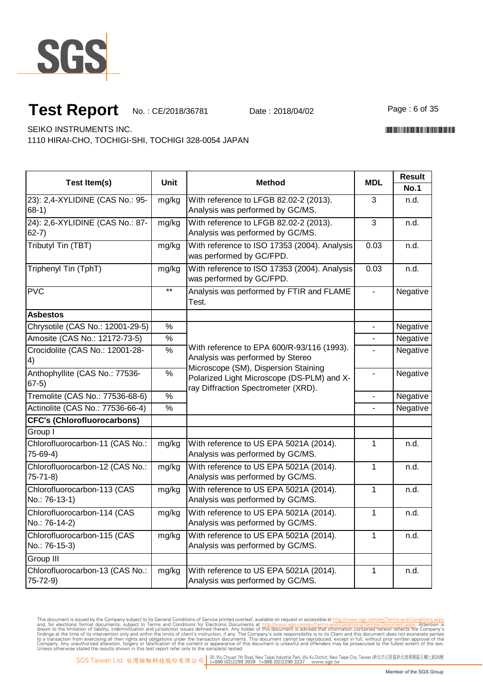

Page: 6 of 35

SEIKO INSTRUMENTS INC.

1110 HIRAI-CHO, TOCHIGI-SHI, TOCHIGI 328-0054 JAPAN

|                                                  |               |                                                                                                                                                                                                             |                | <b>Result</b> |  |
|--------------------------------------------------|---------------|-------------------------------------------------------------------------------------------------------------------------------------------------------------------------------------------------------------|----------------|---------------|--|
| <b>Test Item(s)</b>                              | Unit          | <b>Method</b>                                                                                                                                                                                               | <b>MDL</b>     | <b>No.1</b>   |  |
| 23): 2,4-XYLIDINE (CAS No.: 95-<br>$68-1)$       | mg/kg         | With reference to LFGB 82.02-2 (2013).<br>Analysis was performed by GC/MS.                                                                                                                                  | 3              | n.d.          |  |
| 24): 2,6-XYLIDINE (CAS No.: 87-<br>$62 - 7$ )    | mg/kg         | With reference to LFGB 82.02-2 (2013).<br>Analysis was performed by GC/MS.                                                                                                                                  | 3              | n.d.          |  |
| Tributyl Tin (TBT)                               | mg/kg         | With reference to ISO 17353 (2004). Analysis<br>was performed by GC/FPD.                                                                                                                                    | 0.03           | n.d.          |  |
| Triphenyl Tin (TphT)                             | mg/kg         | With reference to ISO 17353 (2004). Analysis<br>was performed by GC/FPD.                                                                                                                                    | 0.03           | n.d.          |  |
| <b>PVC</b>                                       | $\star\star$  | Analysis was performed by FTIR and FLAME<br>Test.                                                                                                                                                           | $\blacksquare$ | Negative      |  |
| <b>Asbestos</b>                                  |               |                                                                                                                                                                                                             |                |               |  |
| Chrysotile (CAS No.: 12001-29-5)                 | $\%$          |                                                                                                                                                                                                             | $\blacksquare$ | Negative      |  |
| Amosite (CAS No.: 12172-73-5)                    | $\frac{0}{0}$ | With reference to EPA 600/R-93/116 (1993).<br>Analysis was performed by Stereo<br>Microscope (SM), Dispersion Staining<br>Polarized Light Microscope (DS-PLM) and X-<br>ray Diffraction Spectrometer (XRD). |                | Negative      |  |
| Crocidolite (CAS No.: 12001-28-<br>4)            | $\frac{0}{6}$ |                                                                                                                                                                                                             |                | Negative      |  |
| Anthophyllite (CAS No.: 77536-<br>$67-5)$        | $\frac{9}{6}$ |                                                                                                                                                                                                             |                | Negative      |  |
| Tremolite (CAS No.: 77536-68-6)                  | $\frac{0}{6}$ |                                                                                                                                                                                                             |                | Negative      |  |
| Actinolite (CAS No.: 77536-66-4)                 | $\frac{0}{0}$ |                                                                                                                                                                                                             |                | Negative      |  |
| <b>CFC's (Chlorofluorocarbons)</b>               |               |                                                                                                                                                                                                             |                |               |  |
| Group I                                          |               |                                                                                                                                                                                                             |                |               |  |
| Chlorofluorocarbon-11 (CAS No.:<br>75-69-4)      | mg/kg         | With reference to US EPA 5021A (2014).<br>Analysis was performed by GC/MS.                                                                                                                                  | $\mathbf{1}$   | n.d.          |  |
| Chlorofluorocarbon-12 (CAS No.:<br>$75 - 71 - 8$ | mg/kg         | With reference to US EPA 5021A (2014).<br>Analysis was performed by GC/MS.                                                                                                                                  | 1              | n.d.          |  |
| Chlorofluorocarbon-113 (CAS<br>No.: 76-13-1)     | mg/kg         | With reference to US EPA 5021A (2014).<br>Analysis was performed by GC/MS.                                                                                                                                  | $\mathbf{1}$   | n.d.          |  |
| Chlorofluorocarbon-114 (CAS<br>No.: 76-14-2)     | mg/kg         | With reference to US EPA 5021A (2014).<br>Analysis was performed by GC/MS.                                                                                                                                  | $\mathbf{1}$   | n.d.          |  |
| Chlorofluorocarbon-115 (CAS<br>No.: 76-15-3)     | mg/kg         | With reference to US EPA 5021A (2014).<br>Analysis was performed by GC/MS.                                                                                                                                  | $\mathbf{1}$   | n.d.          |  |
| Group III                                        |               |                                                                                                                                                                                                             |                |               |  |
| Chlorofluorocarbon-13 (CAS No.:<br>75-72-9)      | mg/kg         | With reference to US EPA 5021A (2014).<br>Analysis was performed by GC/MS.                                                                                                                                  | 1              | n.d.          |  |

This document is issued by the Company subject to Terms and Conditions of Service printed overleaf, available on request or accessible at th<u>ttp://www.sgs.com/en/Terms-and-Conditions/Termse-Document as apx</u><br>and, for electr

\*CE/2018/36781\*CE/2018/38781\*CE/2018/38781\*CE/2018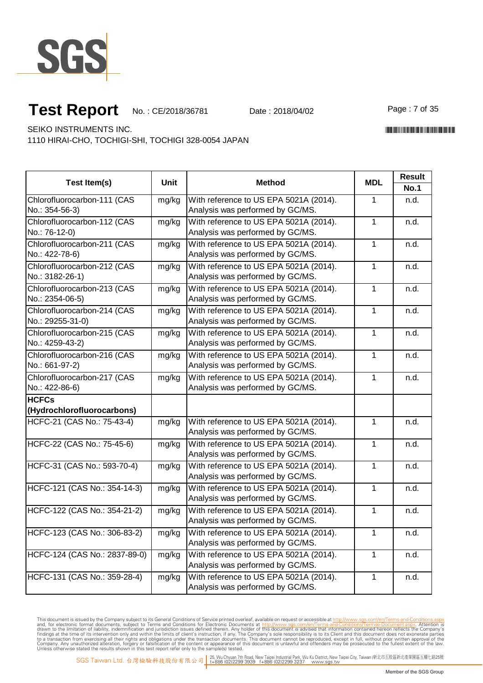

Page: 7 of 35

SEIKO INSTRUMENTS INC.

1110 HIRAI-CHO, TOCHIGI-SHI, TOCHIGI 328-0054 JAPAN

| <b>Test Item(s)</b>                             | <b>Unit</b> | <b>Method</b>                                                              | <b>MDL</b>   | <b>Result</b><br><b>No.1</b> |
|-------------------------------------------------|-------------|----------------------------------------------------------------------------|--------------|------------------------------|
| Chlorofluorocarbon-111 (CAS<br>No.: 354-56-3)   | mg/kg       | With reference to US EPA 5021A (2014).<br>Analysis was performed by GC/MS. | 1            | n.d.                         |
| Chlorofluorocarbon-112 (CAS<br>No.: 76-12-0)    | mg/kg       | With reference to US EPA 5021A (2014).<br>Analysis was performed by GC/MS. | $\mathbf{1}$ | n.d.                         |
| Chlorofluorocarbon-211 (CAS<br>No.: 422-78-6)   | mg/kg       | With reference to US EPA 5021A (2014).<br>Analysis was performed by GC/MS. | 1            | n.d.                         |
| Chlorofluorocarbon-212 (CAS<br>No.: 3182-26-1)  | mg/kg       | With reference to US EPA 5021A (2014).<br>Analysis was performed by GC/MS. | $\mathbf{1}$ | n.d.                         |
| Chlorofluorocarbon-213 (CAS<br>No.: 2354-06-5)  | mg/kg       | With reference to US EPA 5021A (2014).<br>Analysis was performed by GC/MS. | $\mathbf{1}$ | n.d.                         |
| Chlorofluorocarbon-214 (CAS<br>No.: 29255-31-0) | mg/kg       | With reference to US EPA 5021A (2014).<br>Analysis was performed by GC/MS. | 1            | n.d.                         |
| Chlorofluorocarbon-215 (CAS<br>No.: 4259-43-2)  | mg/kg       | With reference to US EPA 5021A (2014).<br>Analysis was performed by GC/MS. | 1            | n.d.                         |
| Chlorofluorocarbon-216 (CAS<br>No.: 661-97-2)   | mg/kg       | With reference to US EPA 5021A (2014).<br>Analysis was performed by GC/MS. | $\mathbf{1}$ | n.d.                         |
| Chlorofluorocarbon-217 (CAS<br>No.: 422-86-6)   | mg/kg       | With reference to US EPA 5021A (2014).<br>Analysis was performed by GC/MS. | $\mathbf{1}$ | n.d.                         |
| <b>HCFCs</b><br>(Hydrochlorofluorocarbons)      |             |                                                                            |              |                              |
| HCFC-21 (CAS No.: 75-43-4)                      | mg/kg       | With reference to US EPA 5021A (2014).<br>Analysis was performed by GC/MS. | 1            | n.d.                         |
| HCFC-22 (CAS No.: 75-45-6)                      | mg/kg       | With reference to US EPA 5021A (2014).<br>Analysis was performed by GC/MS. | 1            | n.d.                         |
| HCFC-31 (CAS No.: 593-70-4)                     | mg/kg       | With reference to US EPA 5021A (2014).<br>Analysis was performed by GC/MS. | $\mathbf{1}$ | n.d.                         |
| HCFC-121 (CAS No.: 354-14-3)                    | mg/kg       | With reference to US EPA 5021A (2014).<br>Analysis was performed by GC/MS. | 1            | n.d.                         |
| HCFC-122 (CAS No.: 354-21-2)                    | mg/kg       | With reference to US EPA 5021A (2014).<br>Analysis was performed by GC/MS. | 1            | n.d.                         |
| HCFC-123 (CAS No.: 306-83-2)                    | mg/kg       | With reference to US EPA 5021A (2014).<br>Analysis was performed by GC/MS. | 1            | n.d.                         |
| HCFC-124 (CAS No.: 2837-89-0)                   | mg/kg       | With reference to US EPA 5021A (2014).<br>Analysis was performed by GC/MS. | 1            | n.d.                         |
| HCFC-131 (CAS No.: 359-28-4)                    | mg/kg       | With reference to US EPA 5021A (2014).<br>Analysis was performed by GC/MS. | 1            | n.d.                         |

This document is issued by the Company subject to Terms and Conditions of Service printed overleaf, available on request or accessible at th<u>ttp://www.sgs.com/en/Terms-and-Conditions/Termse-Document as apx</u><br>and, for electr

\*CE/2018/36781\*CE/2018/38781\*CE/2018/38781\*CE/2018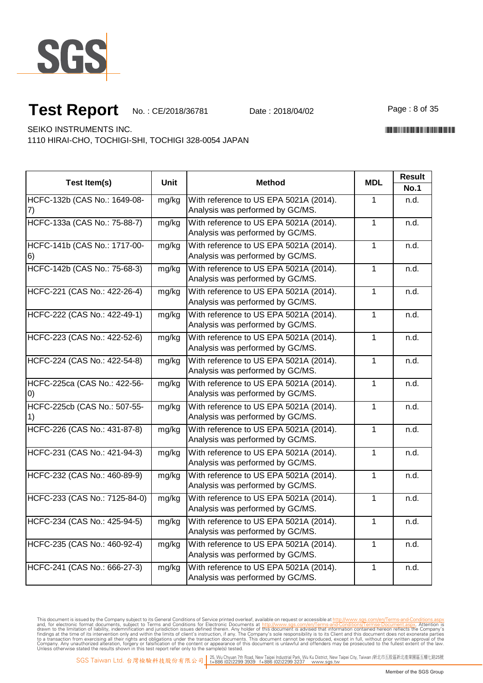

Page: 8 of 35

\*CE/2018/36781\*CE/2018/38781\*CE/2018/38781\*CE/2018

SEIKO INSTRUMENTS INC.

1110 HIRAI-CHO, TOCHIGI-SHI, TOCHIGI 328-0054 JAPAN

| <b>Test Item(s)</b>                               | Unit  | <b>Method</b>                                                              | <b>MDL</b>     | <b>Result</b><br><b>No.1</b> |
|---------------------------------------------------|-------|----------------------------------------------------------------------------|----------------|------------------------------|
| HCFC-132b (CAS No.: 1649-08-<br>$\left( \right)$  | mg/kg | With reference to US EPA 5021A (2014).<br>Analysis was performed by GC/MS. | 1              | n.d.                         |
| HCFC-133a (CAS No.: 75-88-7)                      | mg/kg | With reference to US EPA 5021A (2014).<br>Analysis was performed by GC/MS. | $\mathbf{1}$   | n.d.                         |
| HCFC-141b (CAS No.: 1717-00-<br>6)                | mg/kg | With reference to US EPA 5021A (2014).<br>Analysis was performed by GC/MS. | $\mathbf 1$    | n.d.                         |
| HCFC-142b (CAS No.: 75-68-3)                      | mg/kg | With reference to US EPA 5021A (2014).<br>Analysis was performed by GC/MS. | $\mathbf{1}$   | n.d.                         |
| HCFC-221 (CAS No.: 422-26-4)                      | mg/kg | With reference to US EPA 5021A (2014).<br>Analysis was performed by GC/MS. | $\mathbf{1}$   | n.d.                         |
| HCFC-222 (CAS No.: 422-49-1)                      | mg/kg | With reference to US EPA 5021A (2014).<br>Analysis was performed by GC/MS. | 1              | n.d.                         |
| HCFC-223 (CAS No.: 422-52-6)                      | mg/kg | With reference to US EPA 5021A (2014).<br>Analysis was performed by GC/MS. | 1              | n.d.                         |
| HCFC-224 (CAS No.: 422-54-8)                      | mg/kg | With reference to US EPA 5021A (2014).<br>Analysis was performed by GC/MS. | 1              | n.d.                         |
| HCFC-225ca (CAS No.: 422-56-<br>$\left( 0\right)$ | mg/kg | With reference to US EPA 5021A (2014).<br>Analysis was performed by GC/MS. | 1              | n.d.                         |
| HCFC-225cb (CAS No.: 507-55-                      | mg/kg | With reference to US EPA 5021A (2014).<br>Analysis was performed by GC/MS. | $\mathbf{1}$   | n.d.                         |
| HCFC-226 (CAS No.: 431-87-8)                      | mg/kg | With reference to US EPA 5021A (2014).<br>Analysis was performed by GC/MS. | $\mathbf{1}$   | n.d.                         |
| HCFC-231 (CAS No.: 421-94-3)                      | mg/kg | With reference to US EPA 5021A (2014).<br>Analysis was performed by GC/MS. | $\overline{1}$ | n.d.                         |
| HCFC-232 (CAS No.: 460-89-9)                      | mg/kg | With reference to US EPA 5021A (2014).<br>Analysis was performed by GC/MS. | $\mathbf{1}$   | n.d.                         |
| HCFC-233 (CAS No.: 7125-84-0)                     | mg/kg | With reference to US EPA 5021A (2014).<br>Analysis was performed by GC/MS. | $\mathbf{1}$   | n.d.                         |
| HCFC-234 (CAS No.: 425-94-5)                      | mg/kg | With reference to US EPA 5021A (2014).<br>Analysis was performed by GC/MS. | $\mathbf{1}$   | n.d.                         |
| HCFC-235 (CAS No.: 460-92-4)                      | mg/kg | With reference to US EPA 5021A (2014).<br>Analysis was performed by GC/MS. | $\mathbf{1}$   | n.d.                         |
| HCFC-241 (CAS No.: 666-27-3)                      | mg/kg | With reference to US EPA 5021A (2014).<br>Analysis was performed by GC/MS. | $\mathbf{1}$   | n.d.                         |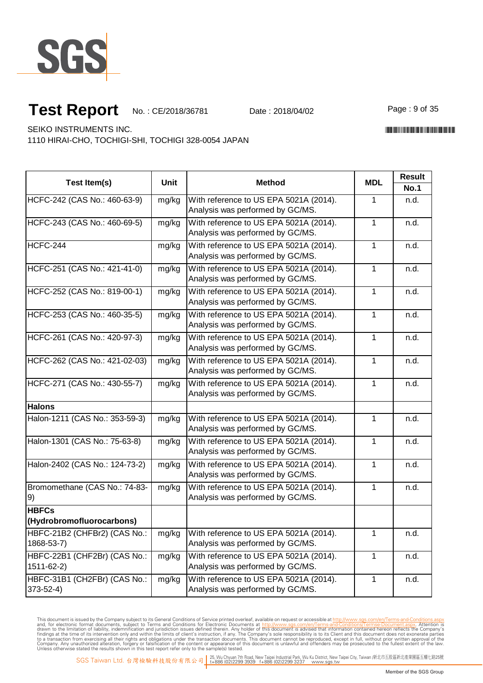

Page: 9 of 35

\*CE/2018/36781\*CE/2018/38781\*CE/2018/38781\*CE/2018

SEIKO INSTRUMENTS INC.

1110 HIRAI-CHO, TOCHIGI-SHI, TOCHIGI 328-0054 JAPAN

| Test Item(s)                                   | <b>Unit</b> | <b>Method</b>                                                              | <b>MDL</b>   | <b>Result</b> |
|------------------------------------------------|-------------|----------------------------------------------------------------------------|--------------|---------------|
|                                                |             |                                                                            |              | <b>No.1</b>   |
| HCFC-242 (CAS No.: 460-63-9)                   | mg/kg       | With reference to US EPA 5021A (2014).<br>Analysis was performed by GC/MS. | 1            | n.d.          |
| HCFC-243 (CAS No.: 460-69-5)                   | mg/kg       | With reference to US EPA 5021A (2014).<br>Analysis was performed by GC/MS. | $\mathbf{1}$ | n.d.          |
| <b>HCFC-244</b>                                | mg/kg       | With reference to US EPA 5021A (2014).<br>Analysis was performed by GC/MS. | 1            | n.d.          |
| HCFC-251 (CAS No.: 421-41-0)                   | mg/kg       | With reference to US EPA 5021A (2014).<br>Analysis was performed by GC/MS. | 1            | n.d.          |
| HCFC-252 (CAS No.: 819-00-1)                   | mg/kg       | With reference to US EPA 5021A (2014).<br>Analysis was performed by GC/MS. | $\mathbf 1$  | n.d.          |
| HCFC-253 (CAS No.: 460-35-5)                   | mg/kg       | With reference to US EPA 5021A (2014).<br>Analysis was performed by GC/MS. | $\mathbf 1$  | n.d.          |
| HCFC-261 (CAS No.: 420-97-3)                   | mg/kg       | With reference to US EPA 5021A (2014).<br>Analysis was performed by GC/MS. | $\mathbf 1$  | n.d.          |
| HCFC-262 (CAS No.: 421-02-03)                  | mg/kg       | With reference to US EPA 5021A (2014).<br>Analysis was performed by GC/MS. | $\mathbf 1$  | n.d.          |
| HCFC-271 (CAS No.: 430-55-7)                   | mg/kg       | With reference to US EPA 5021A (2014).<br>Analysis was performed by GC/MS. | 1            | n.d.          |
| <b>Halons</b>                                  |             |                                                                            |              |               |
| Halon-1211 (CAS No.: 353-59-3)                 | mg/kg       | With reference to US EPA 5021A (2014).<br>Analysis was performed by GC/MS. | $\mathbf{1}$ | n.d.          |
| Halon-1301 (CAS No.: 75-63-8)                  | mg/kg       | With reference to US EPA 5021A (2014).<br>Analysis was performed by GC/MS. | $\mathbf 1$  | n.d.          |
| Halon-2402 (CAS No.: 124-73-2)                 | mg/kg       | With reference to US EPA 5021A (2014).<br>Analysis was performed by GC/MS. | 1            | n.d.          |
| Bromomethane (CAS No.: 74-83-<br>9)            | mg/kg       | With reference to US EPA 5021A (2014).<br>Analysis was performed by GC/MS. | $\mathbf 1$  | n.d.          |
| <b>HBFCs</b>                                   |             |                                                                            |              |               |
| (Hydrobromofluorocarbons)                      |             |                                                                            |              |               |
| HBFC-21B2 (CHFBr2) (CAS No.:<br>1868-53-7)     | mg/kg       | With reference to US EPA 5021A (2014).<br>Analysis was performed by GC/MS. | 1            | n.d.          |
| HBFC-22B1 (CHF2Br) (CAS No.:<br>1511-62-2)     | mg/kg       | With reference to US EPA 5021A (2014).<br>Analysis was performed by GC/MS. | 1            | n.d.          |
| HBFC-31B1 (CH2FBr) (CAS No.:<br>$373 - 52 - 4$ | mg/kg       | With reference to US EPA 5021A (2014).<br>Analysis was performed by GC/MS. | $\mathbf{1}$ | n.d.          |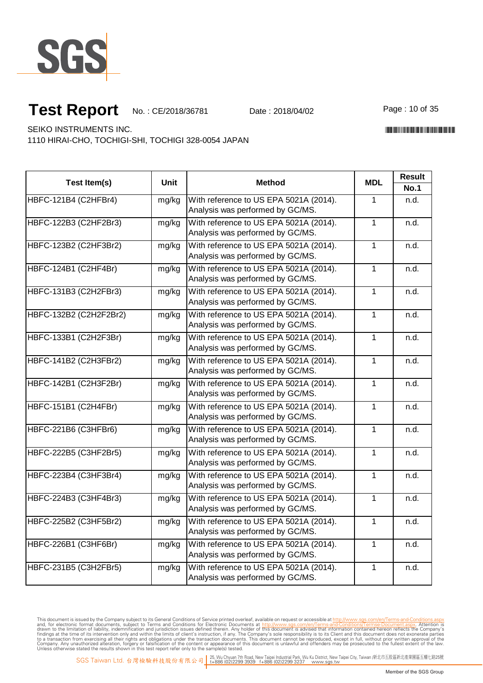

Page: 10 of 35

\*CE/2018/36781\*CE/2018/38781\*CE/2018/38781\*CE/2018

SEIKO INSTRUMENTS INC.

1110 HIRAI-CHO, TOCHIGI-SHI, TOCHIGI 328-0054 JAPAN

| Test Item(s)           | <b>Unit</b> | <b>Method</b>                                                              | <b>MDL</b>     | <b>Result</b> |
|------------------------|-------------|----------------------------------------------------------------------------|----------------|---------------|
|                        |             |                                                                            |                | <b>No.1</b>   |
| HBFC-121B4 (C2HFBr4)   | mg/kg       | With reference to US EPA 5021A (2014).<br>Analysis was performed by GC/MS. | 1              | n.d.          |
| HBFC-122B3 (C2HF2Br3)  | mg/kg       | With reference to US EPA 5021A (2014).<br>Analysis was performed by GC/MS. | $\mathbf{1}$   | n.d.          |
| HBFC-123B2 (C2HF3Br2)  | mg/kg       | With reference to US EPA 5021A (2014).<br>Analysis was performed by GC/MS. | $\mathbf 1$    | n.d.          |
| HBFC-124B1 (C2HF4Br)   | mg/kg       | With reference to US EPA 5021A (2014).<br>Analysis was performed by GC/MS. | $\mathbf{1}$   | n.d.          |
| HBFC-131B3 (C2H2FBr3)  | mg/kg       | With reference to US EPA 5021A (2014).<br>Analysis was performed by GC/MS. | 1              | n.d.          |
| HBFC-132B2 (C2H2F2Br2) | mg/kg       | With reference to US EPA 5021A (2014).<br>Analysis was performed by GC/MS. | $\mathbf{1}$   | n.d.          |
| HBFC-133B1 (C2H2F3Br)  | mg/kg       | With reference to US EPA 5021A (2014).<br>Analysis was performed by GC/MS. | $\mathbf{1}$   | n.d.          |
| HBFC-141B2 (C2H3FBr2)  | mg/kg       | With reference to US EPA 5021A (2014).<br>Analysis was performed by GC/MS. | 1              | n.d.          |
| HBFC-142B1 (C2H3F2Br)  | mg/kg       | With reference to US EPA 5021A (2014).<br>Analysis was performed by GC/MS. | $\mathbf{1}$   | n.d.          |
| HBFC-151B1 (C2H4FBr)   | mg/kg       | With reference to US EPA 5021A (2014).<br>Analysis was performed by GC/MS. | $\mathbf{1}$   | n.d.          |
| HBFC-221B6 (C3HFBr6)   | mg/kg       | With reference to US EPA 5021A (2014).<br>Analysis was performed by GC/MS. | $\mathbf{1}$   | n.d.          |
| HBFC-222B5 (C3HF2Br5)  | mg/kg       | With reference to US EPA 5021A (2014).<br>Analysis was performed by GC/MS. | $\overline{1}$ | n.d.          |
| HBFC-223B4 (C3HF3Br4)  | mg/kg       | With reference to US EPA 5021A (2014).<br>Analysis was performed by GC/MS. | $\mathbf{1}$   | n.d.          |
| HBFC-224B3 (C3HF4Br3)  | mg/kg       | With reference to US EPA 5021A (2014).<br>Analysis was performed by GC/MS. | $\overline{1}$ | n.d.          |
| HBFC-225B2 (C3HF5Br2)  | mg/kg       | With reference to US EPA 5021A (2014).<br>Analysis was performed by GC/MS. | $\mathbf{1}$   | n.d.          |
| HBFC-226B1 (C3HF6Br)   | mg/kg       | With reference to US EPA 5021A (2014).<br>Analysis was performed by GC/MS. | $\mathbf{1}$   | n.d.          |
| HBFC-231B5 (C3H2FBr5)  | mg/kg       | With reference to US EPA 5021A (2014).<br>Analysis was performed by GC/MS. | $\mathbf{1}$   | n.d.          |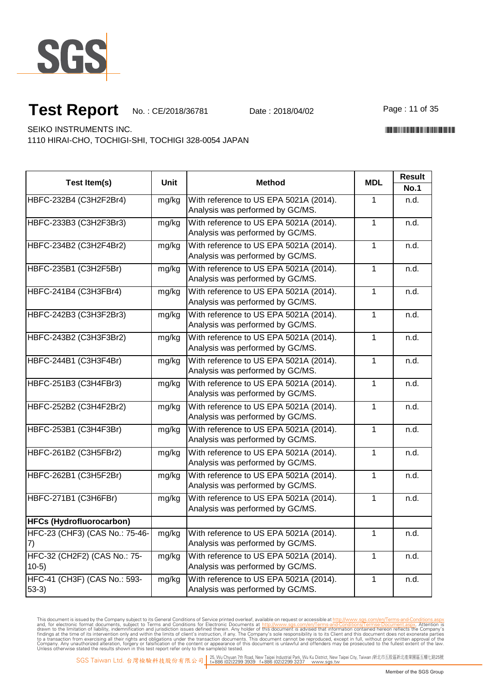

Page: 11 of 35

\*CE/2018/36781\*CE/2018/38781\*CE/2018/38781\*CE/2018

SEIKO INSTRUMENTS INC.

1110 HIRAI-CHO, TOCHIGI-SHI, TOCHIGI 328-0054 JAPAN

|                                         |       |                                                                            |              | <b>Result</b> |  |
|-----------------------------------------|-------|----------------------------------------------------------------------------|--------------|---------------|--|
| Test Item(s)                            | Unit  | <b>Method</b>                                                              | <b>MDL</b>   | <b>No.1</b>   |  |
| HBFC-232B4 (C3H2F2Br4)                  | mg/kg | With reference to US EPA 5021A (2014).<br>Analysis was performed by GC/MS. | 1            | n.d.          |  |
| HBFC-233B3 (C3H2F3Br3)                  | mg/kg | With reference to US EPA 5021A (2014).<br>Analysis was performed by GC/MS. | 1            | n.d.          |  |
| HBFC-234B2 (C3H2F4Br2)                  | mg/kg | With reference to US EPA 5021A (2014).<br>Analysis was performed by GC/MS. | 1            | n.d.          |  |
| HBFC-235B1 (C3H2F5Br)                   | mg/kg | With reference to US EPA 5021A (2014).<br>Analysis was performed by GC/MS. | 1            | n.d.          |  |
| HBFC-241B4 (C3H3FBr4)                   | mg/kg | With reference to US EPA 5021A (2014).<br>Analysis was performed by GC/MS. | $\mathbf{1}$ | n.d.          |  |
| HBFC-242B3 (C3H3F2Br3)                  | mg/kg | With reference to US EPA 5021A (2014).<br>Analysis was performed by GC/MS. | $\mathbf 1$  | n.d.          |  |
| HBFC-243B2 (C3H3F3Br2)                  | mg/kg | With reference to US EPA 5021A (2014).<br>Analysis was performed by GC/MS. | 1            | n.d.          |  |
| HBFC-244B1 (C3H3F4Br)                   | mg/kg | With reference to US EPA 5021A (2014).<br>Analysis was performed by GC/MS. | 1            | n.d.          |  |
| HBFC-251B3 (C3H4FBr3)                   | mg/kg | With reference to US EPA 5021A (2014).<br>Analysis was performed by GC/MS. | 1            | n.d.          |  |
| HBFC-252B2 (C3H4F2Br2)                  | mg/kg | With reference to US EPA 5021A (2014).<br>Analysis was performed by GC/MS. | $\mathbf{1}$ | n.d.          |  |
| HBFC-253B1 (C3H4F3Br)                   | mg/kg | With reference to US EPA 5021A (2014).<br>Analysis was performed by GC/MS. | 1            | n.d.          |  |
| HBFC-261B2 (C3H5FBr2)                   | mg/kg | With reference to US EPA 5021A (2014).<br>Analysis was performed by GC/MS. | 1            | n.d.          |  |
| HBFC-262B1 (C3H5F2Br)                   | mg/kg | With reference to US EPA 5021A (2014).<br>Analysis was performed by GC/MS. | $\mathbf{1}$ | n.d.          |  |
| HBFC-271B1 (C3H6FBr)                    | mg/kg | With reference to US EPA 5021A (2014).<br>Analysis was performed by GC/MS. | 1            | n.d.          |  |
| <b>HFCs (Hydrofluorocarbon)</b>         |       |                                                                            |              |               |  |
| HFC-23 (CHF3) (CAS No.: 75-46-<br>(7)   | mg/kg | With reference to US EPA 5021A (2014).<br>Analysis was performed by GC/MS. | 1            | n.d.          |  |
| HFC-32 (CH2F2) (CAS No.: 75-<br>$10-5)$ | mg/kg | With reference to US EPA 5021A (2014).<br>Analysis was performed by GC/MS. | 1            | n.d.          |  |
| HFC-41 (CH3F) (CAS No.: 593-<br>$53-3)$ | mg/kg | With reference to US EPA 5021A (2014).<br>Analysis was performed by GC/MS. | 1            | n.d.          |  |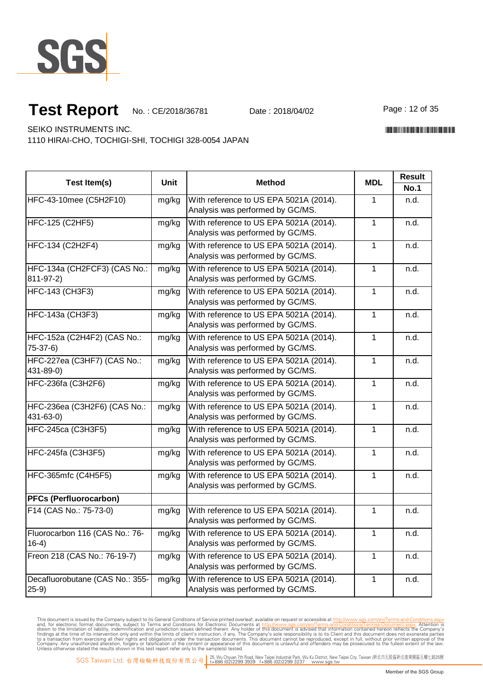

Page: 12 of 35

\*CE/2018/36781\*CE/2018/38781\*CE/2018/38781\*CE/2018

SEIKO INSTRUMENTS INC.

1110 HIRAI-CHO, TOCHIGI-SHI, TOCHIGI 328-0054 JAPAN

| Test Item(s)                                | <b>Unit</b> | <b>Method</b>                                                              | <b>MDL</b>   | <b>Result</b><br><b>No.1</b> |
|---------------------------------------------|-------------|----------------------------------------------------------------------------|--------------|------------------------------|
| HFC-43-10mee (C5H2F10)                      | mg/kg       | With reference to US EPA 5021A (2014).<br>Analysis was performed by GC/MS. | 1            | n.d.                         |
| HFC-125 (C2HF5)                             | mg/kg       | With reference to US EPA 5021A (2014).<br>Analysis was performed by GC/MS. | $\mathbf{1}$ | n.d.                         |
| HFC-134 (C2H2F4)                            | mg/kg       | With reference to US EPA 5021A (2014).<br>Analysis was performed by GC/MS. | 1            | n.d.                         |
| HFC-134a (CH2FCF3) (CAS No.:<br>811-97-2)   | mg/kg       | With reference to US EPA 5021A (2014).<br>Analysis was performed by GC/MS. | 1            | n.d.                         |
| <b>HFC-143 (CH3F3)</b>                      | mg/kg       | With reference to US EPA 5021A (2014).<br>Analysis was performed by GC/MS. | 1            | n.d.                         |
| <b>HFC-143a (CH3F3)</b>                     | mg/kg       | With reference to US EPA 5021A (2014).<br>Analysis was performed by GC/MS. | 1            | n.d.                         |
| HFC-152a (C2H4F2) (CAS No.:<br>$75-37-6$    | mg/kg       | With reference to US EPA 5021A (2014).<br>Analysis was performed by GC/MS. | 1            | n.d.                         |
| HFC-227ea (C3HF7) (CAS No.:<br>431-89-0)    | mg/kg       | With reference to US EPA 5021A (2014).<br>Analysis was performed by GC/MS. | $\mathbf{1}$ | n.d.                         |
| HFC-236fa (C3H2F6)                          | mg/kg       | With reference to US EPA 5021A (2014).<br>Analysis was performed by GC/MS. | $\mathbf{1}$ | n.d.                         |
| HFC-236ea (C3H2F6) (CAS No.:<br>431-63-0)   | mg/kg       | With reference to US EPA 5021A (2014).<br>Analysis was performed by GC/MS. | 1            | n.d.                         |
| <b>HFC-245ca (C3H3F5)</b>                   | mg/kg       | With reference to US EPA 5021A (2014).<br>Analysis was performed by GC/MS. | $\mathbf{1}$ | n.d.                         |
| HFC-245fa (C3H3F5)                          | mg/kg       | With reference to US EPA 5021A (2014).<br>Analysis was performed by GC/MS. | 1            | n.d.                         |
| HFC-365mfc (C4H5F5)                         | mg/kg       | With reference to US EPA 5021A (2014).<br>Analysis was performed by GC/MS. | $\mathbf{1}$ | n.d.                         |
| <b>PFCs (Perfluorocarbon)</b>               |             |                                                                            |              |                              |
| F14 (CAS No.: 75-73-0)                      | mg/kg       | With reference to US EPA 5021A (2014).<br>Analysis was performed by GC/MS. | 1            | n.d.                         |
| Fluorocarbon 116 (CAS No.: 76-<br>$16-4)$   | mg/kg       | With reference to US EPA 5021A (2014).<br>Analysis was performed by GC/MS. | 1            | n.d.                         |
| Freon 218 (CAS No.: 76-19-7)                | mg/kg       | With reference to US EPA 5021A (2014).<br>Analysis was performed by GC/MS. | $\mathbf{1}$ | n.d.                         |
| Decafluorobutane (CAS No.: 355-<br>$(25-9)$ | mg/kg       | With reference to US EPA 5021A (2014).<br>Analysis was performed by GC/MS. | $\mathbf{1}$ | n.d.                         |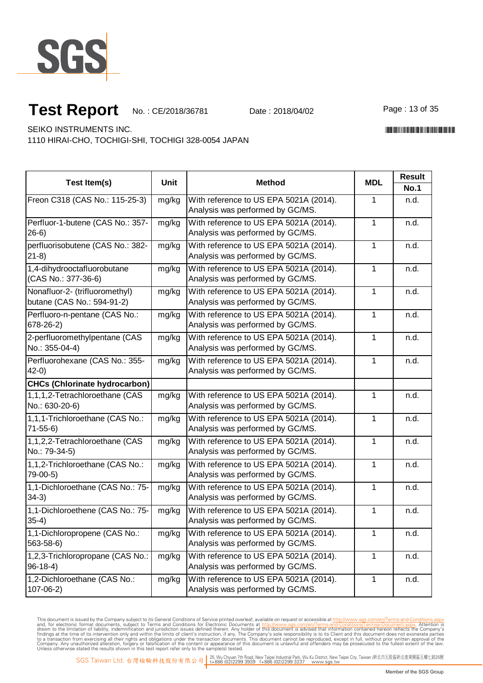

Page: 13 of 35

\*CE/2018/36781\*CE/2018/38781\*CE/2018/38781\*CE/2018

SEIKO INSTRUMENTS INC.

1110 HIRAI-CHO, TOCHIGI-SHI, TOCHIGI 328-0054 JAPAN

| Test Item(s)                         | Unit  | <b>Method</b>                          | <b>MDL</b>   | <b>Result</b> |
|--------------------------------------|-------|----------------------------------------|--------------|---------------|
|                                      |       |                                        |              | <b>No.1</b>   |
| Freon C318 (CAS No.: 115-25-3)       | mg/kg | With reference to US EPA 5021A (2014). | 1            | n.d.          |
|                                      |       | Analysis was performed by GC/MS.       |              |               |
| Perfluor-1-butene (CAS No.: 357-     | mg/kg | With reference to US EPA 5021A (2014). | 1            | n.d.          |
| $26-6)$                              |       | Analysis was performed by GC/MS.       |              |               |
| perfluorisobutene (CAS No.: 382-     | mg/kg | With reference to US EPA 5021A (2014). | 1            | n.d.          |
| $21-8$                               |       | Analysis was performed by GC/MS.       |              |               |
| 1,4-dihydrooctafluorobutane          | mg/kg | With reference to US EPA 5021A (2014). | 1            | n.d.          |
| (CAS No.: 377-36-6)                  |       | Analysis was performed by GC/MS.       |              |               |
| Nonafluor-2- (trifluoromethyl)       | mg/kg | With reference to US EPA 5021A (2014). | 1            | n.d.          |
| butane (CAS No.: 594-91-2)           |       | Analysis was performed by GC/MS.       |              |               |
| Perfluoro-n-pentane (CAS No.:        | mg/kg | With reference to US EPA 5021A (2014). | $\mathbf{1}$ | n.d.          |
| 678-26-2)                            |       | Analysis was performed by GC/MS.       |              |               |
| 2-perfluoromethylpentane (CAS        | mg/kg | With reference to US EPA 5021A (2014). | 1            | n.d.          |
| No.: 355-04-4)                       |       | Analysis was performed by GC/MS.       |              |               |
| Perfluorohexane (CAS No.: 355-       | mg/kg | With reference to US EPA 5021A (2014). | 1            | n.d.          |
| $42-0)$                              |       | Analysis was performed by GC/MS.       |              |               |
| <b>CHCs (Chlorinate hydrocarbon)</b> |       |                                        |              |               |
| 1,1,1,2-Tetrachloroethane (CAS       | mg/kg | With reference to US EPA 5021A (2014). | 1            | n.d.          |
| No.: 630-20-6)                       |       | Analysis was performed by GC/MS.       |              |               |
| 1,1,1-Trichloroethane (CAS No.:      | mg/kg | With reference to US EPA 5021A (2014). | 1            | n.d.          |
| $71 - 55 - 6$                        |       | Analysis was performed by GC/MS.       |              |               |
| 1,1,2,2-Tetrachloroethane (CAS       | mg/kg | With reference to US EPA 5021A (2014). | $\mathbf{1}$ | n.d.          |
| No.: 79-34-5)                        |       | Analysis was performed by GC/MS.       |              |               |
| 1,1,2-Trichloroethane (CAS No.:      | mg/kg | With reference to US EPA 5021A (2014). | 1            | n.d.          |
| 79-00-5)                             |       | Analysis was performed by GC/MS.       |              |               |
| 1,1-Dichloroethane (CAS No.: 75-     | mg/kg | With reference to US EPA 5021A (2014). | 1            | n.d.          |
| $34-3)$                              |       | Analysis was performed by GC/MS.       |              |               |
| 1,1-Dichloroethene (CAS No.: 75-     | mg/kg | With reference to US EPA 5021A (2014). | 1            | n.d.          |
| $35-4)$                              |       | Analysis was performed by GC/MS.       |              |               |
| 1,1-Dichloropropene (CAS No.:        | mg/kg | With reference to US EPA 5021A (2014). | 1            | n.d.          |
| 563-58-6)                            |       | Analysis was performed by GC/MS.       |              |               |
| 1,2,3-Trichloropropane (CAS No.:     | mg/kg | With reference to US EPA 5021A (2014). | 1            | n.d.          |
| $96-18-4)$                           |       | Analysis was performed by GC/MS.       |              |               |
| 1,2-Dichloroethane (CAS No.:         | mg/kg | With reference to US EPA 5021A (2014). | 1            | n.d.          |
| $107 - 06 - 2$                       |       | Analysis was performed by GC/MS.       |              |               |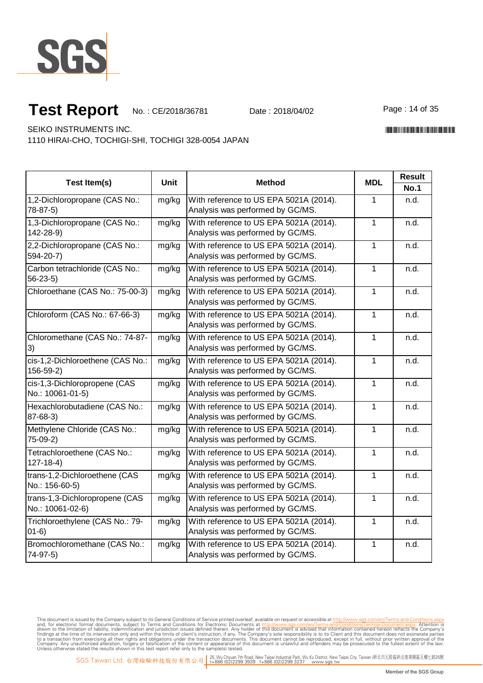

Page: 14 of 35

\*CE/2018/36781\*CE/2018/38781\*CE/2018/38781\*CE/2018

SEIKO INSTRUMENTS INC.

1110 HIRAI-CHO, TOCHIGI-SHI, TOCHIGI 328-0054 JAPAN

| Test Item(s)                                       | <b>Unit</b> | <b>Method</b>                                                              | <b>MDL</b>   | <b>Result</b><br><b>No.1</b> |
|----------------------------------------------------|-------------|----------------------------------------------------------------------------|--------------|------------------------------|
| 1,2-Dichloropropane (CAS No.:<br>78-87-5)          | mg/kg       | With reference to US EPA 5021A (2014).<br>Analysis was performed by GC/MS. | 1            | n.d.                         |
| 1,3-Dichloropropane (CAS No.:<br>142-28-9)         | mg/kg       | With reference to US EPA 5021A (2014).<br>Analysis was performed by GC/MS. |              | n.d.                         |
| 2,2-Dichloropropane (CAS No.:<br>594-20-7)         | mg/kg       | With reference to US EPA 5021A (2014).<br>Analysis was performed by GC/MS. |              | n.d.                         |
| Carbon tetrachloride (CAS No.:<br>$56-23-5$        | mg/kg       | With reference to US EPA 5021A (2014).<br>Analysis was performed by GC/MS. |              | n.d.                         |
| Chloroethane (CAS No.: 75-00-3)                    | mg/kg       | With reference to US EPA 5021A (2014).<br>Analysis was performed by GC/MS. | $\mathbf{1}$ | n.d.                         |
| Chloroform (CAS No.: 67-66-3)                      | mg/kg       | With reference to US EPA 5021A (2014).<br>Analysis was performed by GC/MS. |              | n.d.                         |
| Chloromethane (CAS No.: 74-87-<br>3)               | mg/kg       | With reference to US EPA 5021A (2014).<br>Analysis was performed by GC/MS. |              | n.d.                         |
| cis-1,2-Dichloroethene (CAS No.:<br>$156 - 59 - 2$ | mg/kg       | With reference to US EPA 5021A (2014).<br>Analysis was performed by GC/MS. |              | n.d.                         |
| cis-1,3-Dichloropropene (CAS<br>No.: 10061-01-5)   | mg/kg       | With reference to US EPA 5021A (2014).<br>Analysis was performed by GC/MS. |              | n.d.                         |
| Hexachlorobutadiene (CAS No.:<br>87-68-3)          | mg/kg       | With reference to US EPA 5021A (2014).<br>Analysis was performed by GC/MS. |              | n.d.                         |
| Methylene Chloride (CAS No.:<br>75-09-2)           | mg/kg       | With reference to US EPA 5021A (2014).<br>Analysis was performed by GC/MS. |              | n.d.                         |
| Tetrachloroethene (CAS No.:<br>$127 - 18 - 4$      | mg/kg       | With reference to US EPA 5021A (2014).<br>Analysis was performed by GC/MS. |              | n.d.                         |
| trans-1,2-Dichloroethene (CAS<br>No.: 156-60-5)    | mg/kg       | With reference to US EPA 5021A (2014).<br>Analysis was performed by GC/MS. |              | n.d.                         |
| trans-1,3-Dichloropropene (CAS<br>No.: 10061-02-6) | mg/kg       | With reference to US EPA 5021A (2014).<br>Analysis was performed by GC/MS. |              | n.d.                         |
| Trichloroethylene (CAS No.: 79-<br>$01-6)$         | mg/kg       | With reference to US EPA 5021A (2014).<br>Analysis was performed by GC/MS. |              | n.d.                         |
| Bromochloromethane (CAS No.:<br>74-97-5)           | mg/kg       | With reference to US EPA 5021A (2014).<br>Analysis was performed by GC/MS. |              | n.d.                         |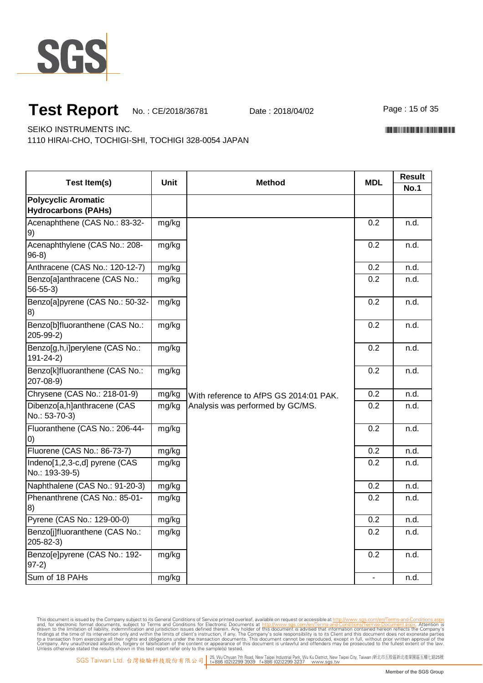

Page: 15 of 35

\*CE/2018/36781\*CE/2018/38781\*CE/2018/38781\*CE/2018

SEIKO INSTRUMENTS INC.

1110 HIRAI-CHO, TOCHIGI-SHI, TOCHIGI 328-0054 JAPAN

| Test Item(s)                                        | <b>Unit</b> | <b>Method</b>                                                              | <b>MDL</b> | <b>Result</b><br><b>No.1</b> |
|-----------------------------------------------------|-------------|----------------------------------------------------------------------------|------------|------------------------------|
| <b>Polycyclic Aromatic</b>                          |             |                                                                            |            |                              |
| <b>Hydrocarbons (PAHs)</b>                          |             |                                                                            |            |                              |
| Acenaphthene (CAS No.: 83-32-<br>9)                 | mg/kg       |                                                                            | 0.2        | n.d.                         |
| Acenaphthylene (CAS No.: 208-<br>$96-8)$            | mg/kg       |                                                                            | 0.2        | n.d.                         |
| Anthracene (CAS No.: 120-12-7)                      | mg/kg       |                                                                            | 0.2        | n.d.                         |
| Benzo[a]anthracene (CAS No.:<br>$56 - 55 - 3$       | mg/kg       |                                                                            | 0.2        | n.d.                         |
| Benzo[a]pyrene (CAS No.: 50-32-<br>8)               | mg/kg       |                                                                            | 0.2        | n.d.                         |
| Benzo[b]fluoranthene (CAS No.:<br>205-99-2)         | mg/kg       |                                                                            | 0.2        | n.d.                         |
| Benzo[g,h,i]perylene (CAS No.:<br>$191 - 24 - 2)$   | mg/kg       | With reference to AfPS GS 2014:01 PAK.<br>Analysis was performed by GC/MS. | 0.2        | n.d.                         |
| Benzo[k]fluoranthene (CAS No.:<br>207-08-9)         | mg/kg       |                                                                            | 0.2        | n.d.                         |
| Chrysene (CAS No.: 218-01-9)                        | mg/kg       |                                                                            | 0.2        | n.d.                         |
| Dibenzo[a,h]anthracene (CAS<br>No.: 53-70-3)        | mg/kg       |                                                                            | 0.2        | n.d.                         |
| Fluoranthene (CAS No.: 206-44-<br>$\left( 0\right)$ | mg/kg       |                                                                            | 0.2        | n.d.                         |
| Fluorene (CAS No.: 86-73-7)                         | mg/kg       |                                                                            | 0.2        | n.d.                         |
| Indeno[1,2,3-c,d] pyrene (CAS<br>No.: 193-39-5)     | mg/kg       |                                                                            | 0.2        | n.d.                         |
| Naphthalene (CAS No.: 91-20-3)                      | mg/kg       |                                                                            | 0.2        | n.d.                         |
| Phenanthrene (CAS No.: 85-01-<br>8)                 | mg/kg       |                                                                            | 0.2        | n.d.                         |
| Pyrene (CAS No.: 129-00-0)                          | mg/kg       |                                                                            | 0.2        | n.d.                         |
| Benzo[j]fluoranthene (CAS No.:<br>$205 - 82 - 3$    | mg/kg       |                                                                            | 0.2        | n.d.                         |
| Benzo[e]pyrene (CAS No.: 192-<br>$97-2)$            | mg/kg       |                                                                            | 0.2        | n.d.                         |
| Sum of 18 PAHs                                      | mg/kg       |                                                                            |            | n.d.                         |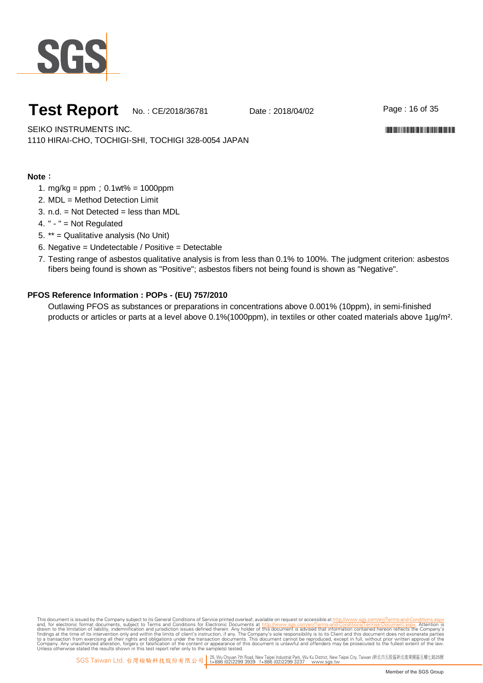

Page: 16 of 35

\*CE/2018/36781\*CE/2018/38781\*CE/2018/38781\*CE/2018

SEIKO INSTRUMENTS INC. 1110 HIRAI-CHO, TOCHIGI-SHI, TOCHIGI 328-0054 JAPAN

**Note**:

- 1. m g/kg= ppm ; 0.1wt% = 1000ppm
- 2. MDL = Method Detection Limit
- 3. n.d. = Not Detected = less than MDL
- 4. " " = Not Regulated
- 5. \*\* = Qualitative analysis (No Unit)
- 6. Negative = Undetectable / Positive = Detectable
- 7. Testing range of asbestos qualitative analysis is from less than 0.1% to 100%. The judgment criterion: asbestos fibers being found is shown as "Positive"; asbestos fibers not being found is shown as "Negative".

#### **PFOS Reference Information : POPs - (EU) 757/2010**

Outlawing PFOS as substances or preparations in concentrations above 0.001% (10ppm), in semi-finished products or articles or parts at a level above 0.1% (1000ppm), in textiles or other coated materials above 1µ g/m<sup>2</sup>.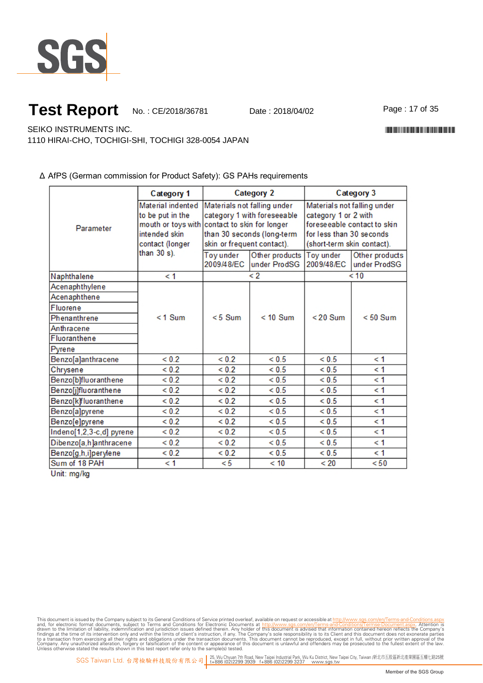

Page:17of35

SEIKO INSTRUMENTS INC.

1110 HIRAI-CHO, TOCHIGI-SHI, TOCHIGI 328-0054 JAPAN

#### Δ AfPS (German commission for Product Safety): GS PAHs requirements

|                          | Category 1                        | <b>Category 2</b>                             |                            | Category 3                  |                |
|--------------------------|-----------------------------------|-----------------------------------------------|----------------------------|-----------------------------|----------------|
|                          | Material indented                 | Materials not falling under                   |                            | Materials not falling under |                |
|                          | to be put in the                  | category 1 with foreseeable                   |                            | category 1 or 2 with        |                |
| Parameter                |                                   | mouth or toys with contact to skin for longer |                            | foreseeable contact to skin |                |
|                          | intended skin                     |                                               | than 30 seconds (long-term | for less than 30 seconds    |                |
|                          | contact (longer<br>than $30 s$ ). | skin or frequent contact).                    |                            | (short-term skin contact).  |                |
|                          |                                   | <b>Toy under</b>                              | Other products             | Toy under                   | Other products |
|                          |                                   | 2009/48/EC                                    | under ProdSG               | 2009/48/EC                  | under ProdSG   |
| Naphthalene              | $\leq 1$                          |                                               | $\lt 2$                    |                             | < 10           |
| Acenaphthylene           |                                   |                                               |                            |                             |                |
| Acenaphthene             |                                   |                                               |                            |                             |                |
| <b>Fluorene</b>          |                                   |                                               |                            |                             |                |
| Phenanthrene             | $<$ 1 Sum                         | $< 5$ Sum                                     | $< 10$ Sum                 | $< 20$ Sum                  | $< 50$ Sum     |
| Anthracene               |                                   |                                               |                            |                             |                |
| Fluoranthene             |                                   |                                               |                            |                             |                |
| Pyrene                   |                                   |                                               |                            |                             |                |
| Benzo[a]anthracene       | ${}_{0.2}$                        | ${}_{0.2}$                                    | < 0.5                      | ${}_{0.5}$                  | $\leq 1$       |
| Chrysene                 | ${}_{0.2}$                        | ${}_{0.2}$                                    | ${}_{0.5}$                 | ${}_{0.5}$                  | $\leq 1$       |
| Benzo[b]fluoranthene     | ${}_{0.2}$                        | ${}_{0.2}$                                    | ${}_{0.5}$                 | ${}_{0.5}$                  | $\leq 1$       |
| Benzo[j]fluoranthene     | ${}_{0.2}$                        | ${}_{0.2}$                                    | < 0.5                      | ${}_{0.5}$                  | $\leq 1$       |
| Benzo[k]fluoranthene     | ${}_{0.2}$                        | ${}_{0.2}$                                    | ${}_{0.5}$                 | ${}_{0.5}$                  | $\leq 1$       |
| Benzo[a]pyrene           | ${}_{0.2}$                        | ${}_{0.2}$                                    | ${}_{0.5}$                 | ${}_{0.5}$                  | $\leq 1$       |
| Benzo[e]pyrene           | ${}_{0.2}$                        | ${}_{0.2}$                                    | ${}< 0.5$                  | ${}_{0.5}$                  | $\leq 1$       |
| Indeno[1,2,3-c,d] pyrene | ${}_{0.2}$                        | ${}_{0.2}$                                    | < 0.5                      | < 0.5                       | $\leq 1$       |
| Dibenzo[a,h]anthracene   | ${}_{0.2}$                        | ${}_{0.2}$                                    | ${}_{0.5}$                 | ${}_{0.5}$                  | $\leq 1$       |
| Benzo[g,h,i]perylene     | < 0.2                             | < 0.2                                         | < 0.5                      | < 0.5                       | < 1            |
| Sum of 18 PAH            | $\leq 1$                          | < 5                                           | < 10                       | < 20                        | < 50           |

Unit: mg/kg

This document is issued by the Company subject to Terms and Conditions of Service printed overleaf, available on request or accessible at th<u>ttp://www.sgs.com/en/Terms-and-Conditions/Termse-Document as apx</u><br>and, for electr

\*CE/2018/36781\*CE/2018/38781\*CE/2018/38781\*CE/2018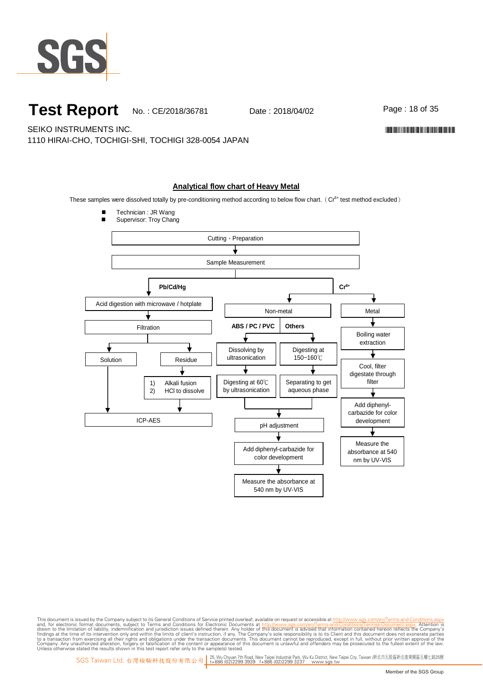

Page: 18 of 35

\*CE/2018/36781\*CE/2018/38781\*CE/2018/38781\*CE/2018

SEIKO INSTRUMENTS INC.

1110 HIRAI-CHO, TOCHIGI-SHI, TOCHIGI 328-0054 JAPAN

#### **Analytical flow chart of Heavy Metal**

These samples were dissolved totally by pre-conditioning method according to below flow chart. (Cr<sup>6+</sup> test method excluded)

- Technician : JR Wang
- Supervisor: Troy Chang

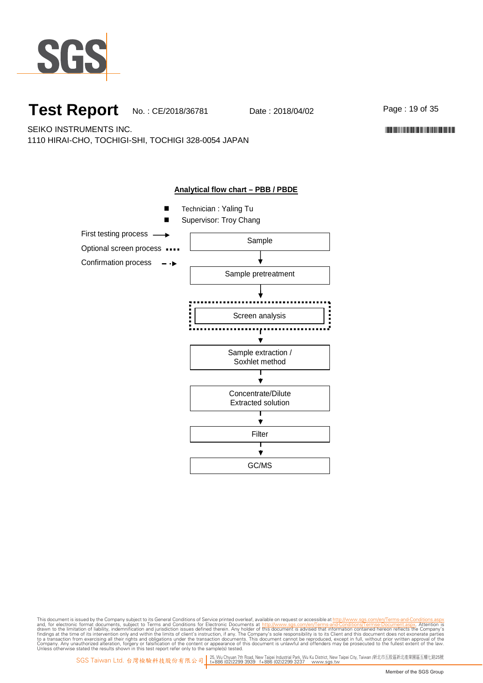

Page: 19 of 35

\*CE/2018/36781\*CE/2018/38781\*CE/2018/38781\*CE/2018

SEIKO INSTRUMENTS INC. 1110 HIRAI-CHO, TOCHIGI-SHI, TOCHIGI 328-0054 JAPAN

#### **Analytical flow chart – PBB / PBDE**

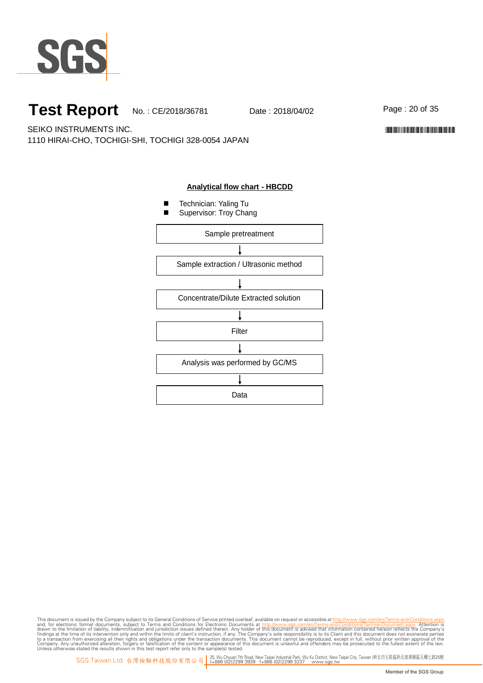

Page: 20 of 35

SEIKO INSTRUMENTS INC. 1110 HIRAI-CHO, TOCHIGI-SHI, TOCHIGI 328-0054 JAPAN

#### **Analytical flow chart - HBCDD**

- Technician: Yaling Tu
- Supervisor: Troy Chang



This document is issued by the Company subject to Terms and Conditions of Service printed overleaf, available on request or accessible at th<u>ttp://www.sgs.com/en/Terms-and-Conditions/Termse-Document as apx</u><br>and, for electr

\*CE/2018/36781\*CE/2018/38781\*CE/2018/38781\*CE/2018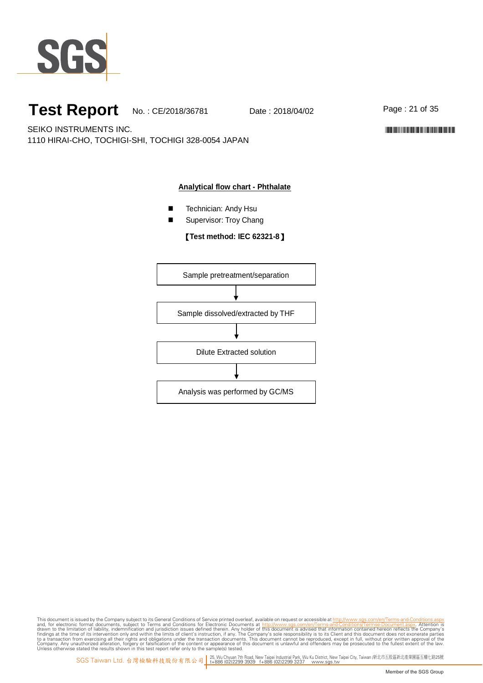

Page: 21 of 35

\*CE/2018/36781\*CE/2018/38781\*CE/2018/38781\*CE/2018

SEIKO INSTRUMENTS INC. 1110 HIRAI-CHO, TOCHIGI-SHI, TOCHIGI 328-0054 JAPAN

#### **Analytical flow chart - Phthalate**

- Technician: Andy Hsu
- Supervisor: Troy Chang

#### 【**Test method: IEC 62321-8**】

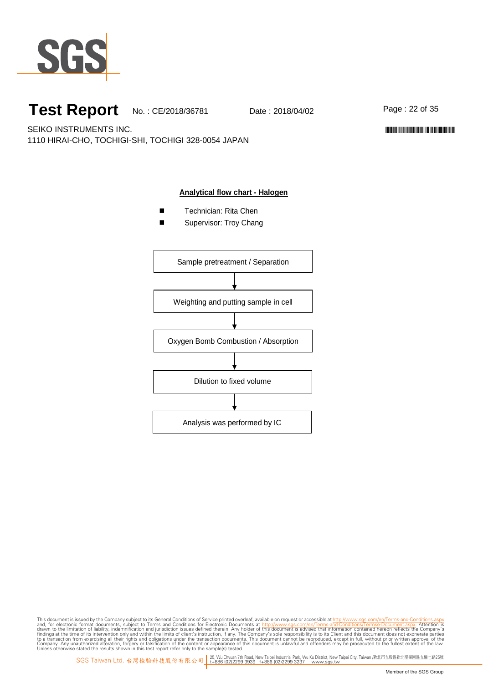

Page: 22 of 35

\*CE/2018/36781\*CE/2018/38781\*CE/2018/38781\*CE/2018

SEIKO INSTRUMENTS INC. 1110 HIRAI-CHO, TOCHIGI-SHI, TOCHIGI 328-0054 JAPAN

#### **Analytical flow chart - Halogen**

- Technician: Rita Chen
- Supervisor: Troy Chang

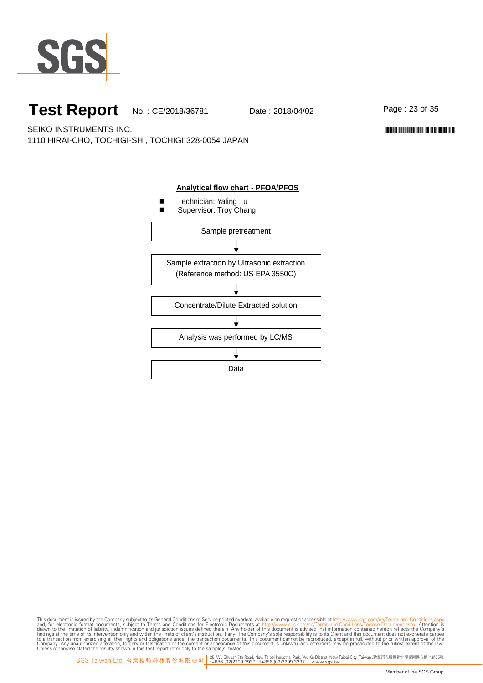

SEIKO INSTRUMENTS INC. 1110 HIRAI-CHO, TOCHIGI-SHI, TOCHIGI 328-0054 JAPAN



This document is issued by the Company subject to Terms and Conditions of Service printed overleaf, available on request or accessible at th<u>ttp://www.sgs.com/en/Terms-and-Conditions/Termse-Document as apx</u><br>and, for electr

Page: 23 of 35

\*CE/2018/36781\*CE/2018/38781\*CE/2018/38781\*CE/2018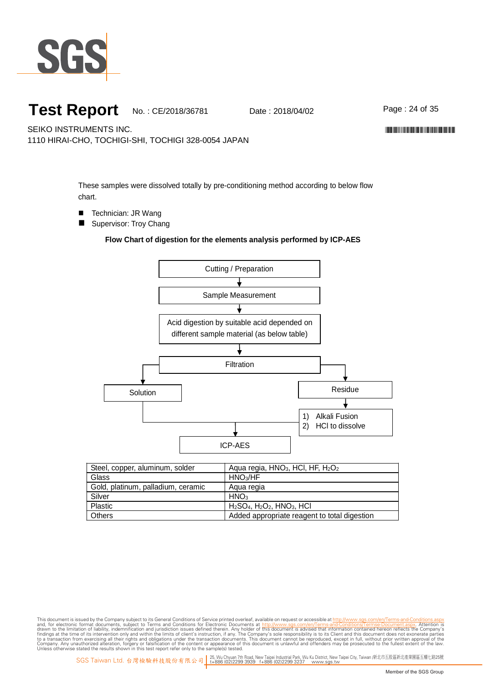

Page: 24 of 35

\*CE/2018/36781\*CE/2018/38781\*CE/2018/38781\*CE/2018

SEIKO INSTRUMENTS INC.

1110 HIRAI-CHO, TOCHIGI-SHI, TOCHIGI 328-0054 JAPAN

These samples were dissolved totally by pre-conditioning method according to below flow chart.

- Technician: JR Wang
- Supervisor: Troy Chang

#### **Flow Chart of digestion for the elements analysis performed by ICP-AES**



| Steel, copper, aluminum, solder    | Aqua regia, HNO <sub>3</sub> , HCI, HF, H <sub>2</sub> O <sub>2</sub> |
|------------------------------------|-----------------------------------------------------------------------|
| Glass                              | HNO <sub>3</sub> /HF                                                  |
| Gold, platinum, palladium, ceramic | Agua regia                                                            |
| Silver                             | HNO <sub>3</sub>                                                      |
| <b>Plastic</b>                     | $H2SO4$ , $H2O2$ , $HNO3$ , $HCl$                                     |
| Others                             | Added appropriate reagent to total digestion                          |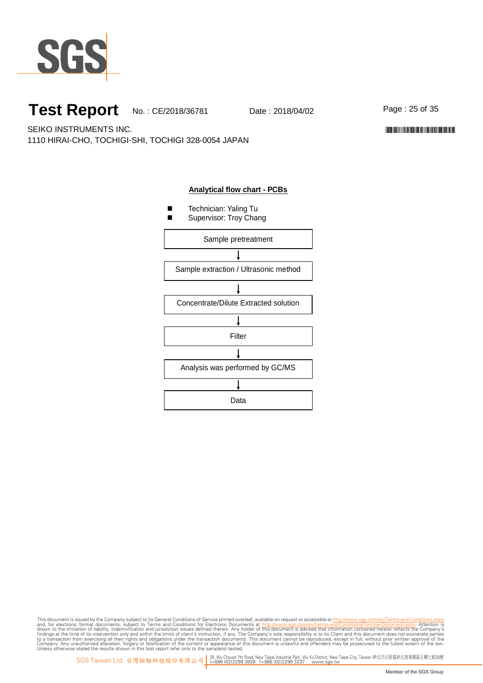

Page: 25 of 35

\*CE/2018/36781\*CE/2018/38781\*CE/2018/38781\*CE/2018

SEIKO INSTRUMENTS INC. 1110 HIRAI-CHO, TOCHIGI-SHI, TOCHIGI 328-0054 JAPAN



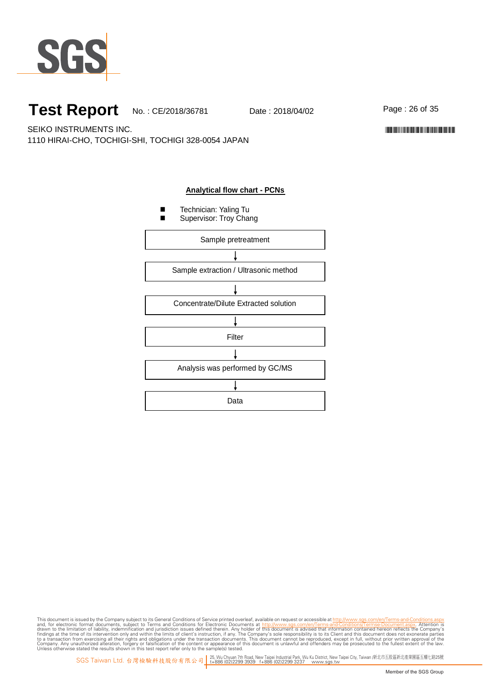

Page: 26 of 35

\*CE/2018/36781\*CE/2018/38781\*CE/2018/38781\*CE/2018

SEIKO INSTRUMENTS INC. 1110 HIRAI-CHO, TOCHIGI-SHI, TOCHIGI 328-0054 JAPAN

#### **Analytical flow chart - PCNs**

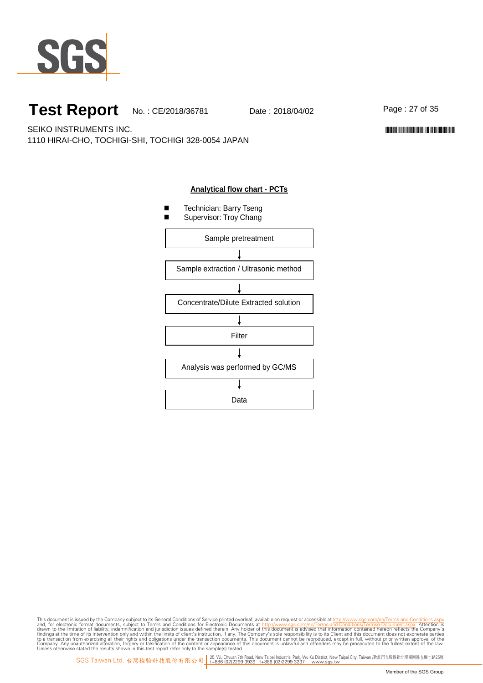

Page:27of35

\*CE/2018/36781\*CE/2018/38781\*CE/2018/38781\*CE/2018

SEIKO INSTRUMENTS INC. 1110 HIRAI-CHO, TOCHIGI-SHI, TOCHIGI 328-0054 JAPAN

#### **Analytical flow chart - PCTs**

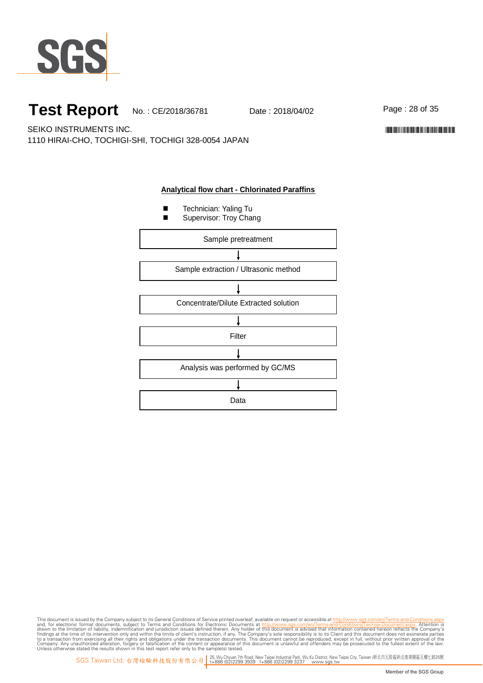

Page: 28 of 35

\*CE/2018/36781\*CE/2018/38781\*CE/2018/38781\*CE/2018

SEIKO INSTRUMENTS INC. 1110 HIRAI-CHO, TOCHIGI-SHI, TOCHIGI 328-0054 JAPAN

#### **Analytical flow chart - Chlorinated Paraffins**

- **Technician: Yaling Tu**
- Supervisor: Troy Chang

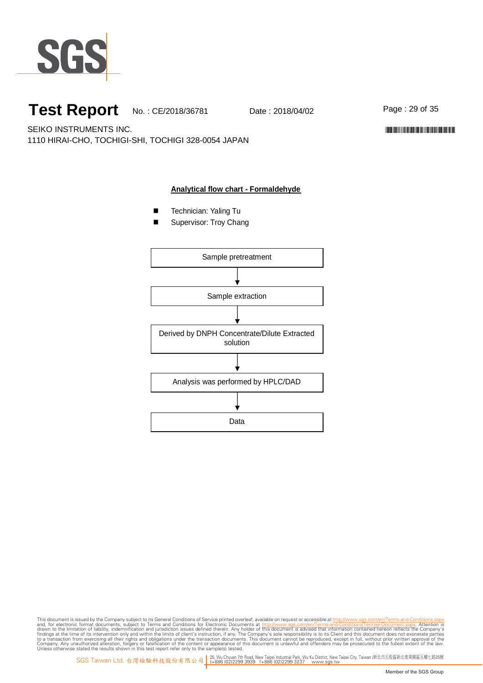

Page: 29 of 35

\*CE/2018/36781\*CE/2018/38781\*CE/2018/38781\*CE/2018

SEIKO INSTRUMENTS INC. 1110 HIRAI-CHO, TOCHIGI-SHI, TOCHIGI 328-0054 JAPAN

#### **Analytical flow chart - Formaldehyde**

- **Technician: Yaling Tu**
- Supervisor: Troy Chang

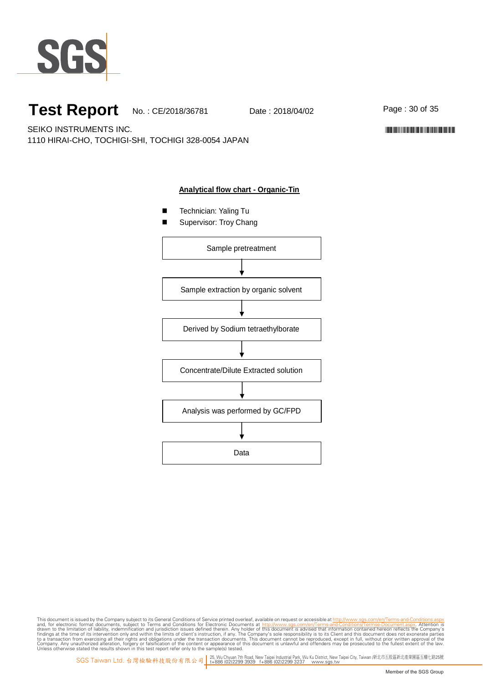

Page: 30 of 35

\*CE/2018/36781\*CE/2018/38781\*CE/2018/38781\*CE/2018

SEIKO INSTRUMENTS INC. 1110 HIRAI-CHO, TOCHIGI-SHI, TOCHIGI 328-0054 JAPAN

#### **Analytical flow chart - Organic-Tin**

- Technician: Yaling Tu
- Supervisor: Troy Chang

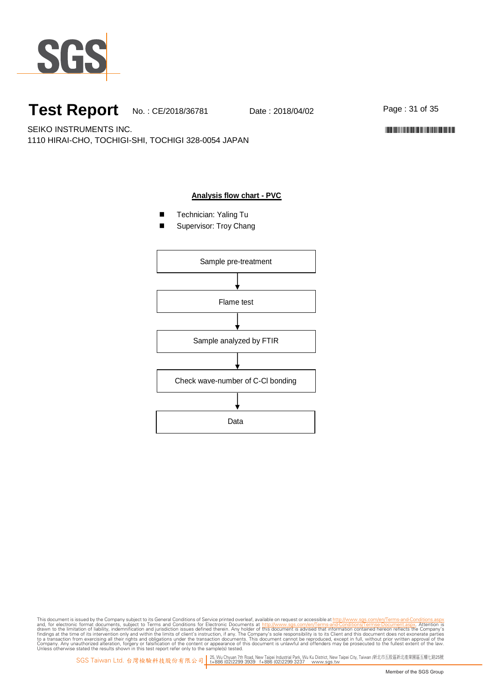

Page:31of35

SEIKO INSTRUMENTS INC. 1110 HIRAI-CHO, TOCHIGI-SHI, TOCHIGI 328-0054 JAPAN

\*CE/2018/36781\*CE/2018/38781\*CE/2018/38781\*CE/2018

#### **Analysis flow chart - PVC**

- Technician: Yaling Tu
- Supervisor: Troy Chang

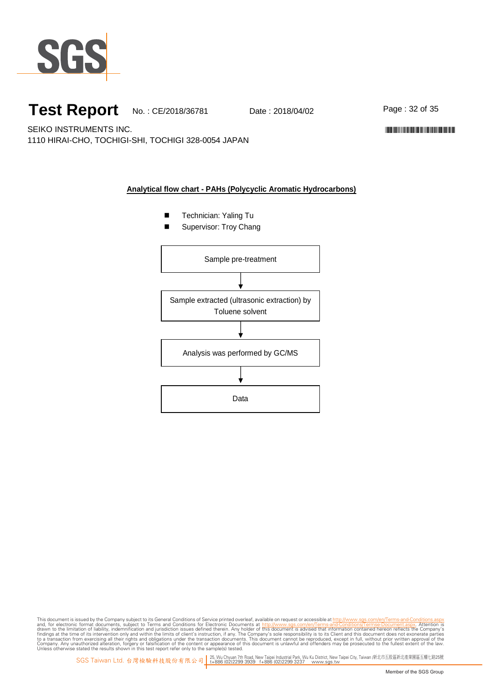

Page: 32 of 35

\*CE/2018/36781\*CE/2018/38781\*CE/2018/38781\*CE/2018

SEIKO INSTRUMENTS INC. 1110 HIRAI-CHO, TOCHIGI-SHI, TOCHIGI 328-0054 JAPAN

#### **Analytical flow chart - PAHs (Polycyclic Aromatic Hydrocarbons)**

- **Technician: Yaling Tu**
- Supervisor: Troy Chang

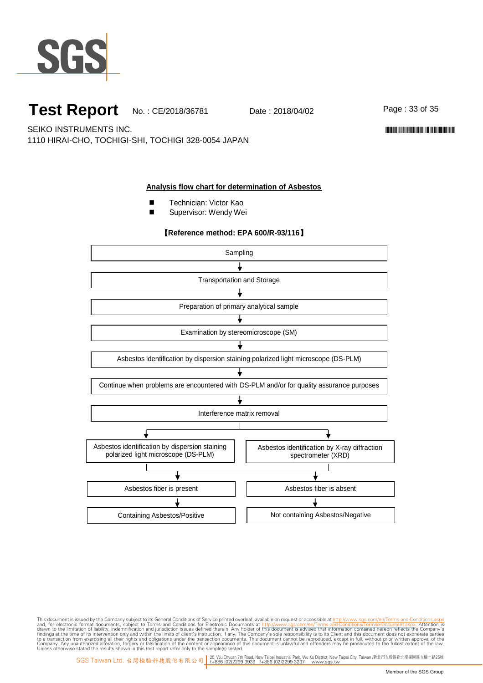

Page:33of35

\*CE/2018/36781\*CE/2018/38781\*CE/2018/38781\*CE/2018

SEIKO INSTRUMENTS INC. 1110 HIRAI-CHO, TOCHIGI-SHI, TOCHIGI 328-0054 JAPAN

#### **Analysis flow chart for determination of Asbestos**

- Technician: Victor Kao
- Supervisor: Wendy Wei

#### 【**Reference method: EPA 600/R-93/116**】

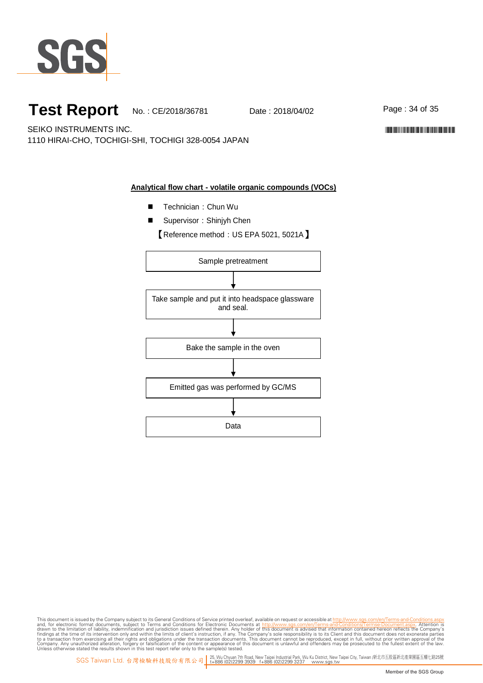

Page: 34 of 35

\*CE/2018/36781\*CE/2018/38781\*CE/2018/38781\*CE/2018

SEIKO INSTRUMENTS INC. 1110 HIRAI-CHO, TOCHIGI-SHI, TOCHIGI 328-0054 JAPAN

#### **Analytical flow chart - volatile organic compounds (VOCs)**

- Technician: Chun Wu
- Supervisor: Shinjyh Chen

【Reference method: US EPA 5021, 5021A】